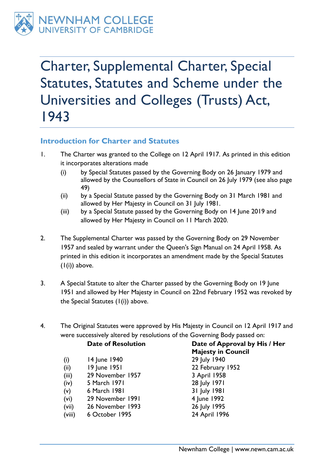

Charter, Supplemental Charter, Special Statutes, Statutes and Scheme under the Universities and Colleges (Trusts) Act, 1943

### **Introduction for Charter and Statutes**

- <span id="page-0-1"></span><span id="page-0-0"></span>1. The Charter was granted to the College on 12 April 1917. As printed in this edition it incorporates alterations made
	- (i) by Special Statutes passed by the Governing Body on 26 January 1979 and allowed by the Counsellors of State in Council on 26 July 1979 (see also page [49\)](#page-48-0)
	- (ii) by a Special Statute passed by the Governing Body on 31 March 1981 and allowed by Her Majesty in Council on 31 July 1981.
	- (iii) by a Special Statute passed by the Governing Body on 14 June 2019 and allowed by Her Majesty in Council on 11 March 2020.
- 2. The Supplemental Charter was passed by the Governing Body on 29 November 1957 and sealed by warrant under the Queen's Sign Manual on 24 April 1958. As printed in this edition it incorporates an amendment made by the Special Statutes  $(I(i))$  $(I(i))$  above.
- 3. A Special Statute to alter the Charter passed by the Governing Body on 19 June 1951 and allowed by Her Majesty in Council on 22nd February 1952 was revoked by the Special Statutes  $(I(i))$  $(I(i))$  above.
- 4. The Original Statutes were approved by His Majesty in Council on 12 April 1917 and were successively altered by resolutions of the Governing Body passed on:

#### **Date of Resolution Date of Approval by His / Her**

- (i) 14 June 1940 29 July 1940
- (ii) 19 June 1951 22 February 1952
- (iii) 29 November 1957 3 April 1958
- (iv) 5 March 1971 28 July 1971
- (v) 6 March 1981 31 July 1981
- (vi) 29 November 1991 4 June 1992
- (vii) 26 November 1993 26 July 1995
- (viii) 6 October 1995 24 April 1996

**Majesty in Council**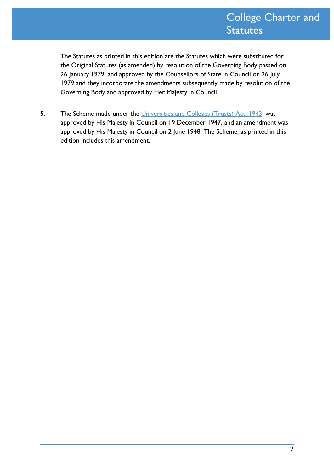The Statutes as printed in this edition are the Statutes which were substituted for the Original Statutes (as amended) by resolution of the Governing Body passed on 26 January 1979, and approved by the Counsellors of State in Council on 26 July 1979 and they incorporate the amendments subsequently made by resolution of the Governing Body and approved by Her Majesty in Council.

5. The Scheme made under the [Universities and Colleges \(Trusts\) Act, 1943,](http://www.legislation.gov.uk/ukpga/Geo6/6-7/9/contents) was approved by His Majesty in Council on 19 December 1947, and an amendment was approved by His Majesty in Council on 2 June 1948. The Scheme, as printed in this edition includes this amendment.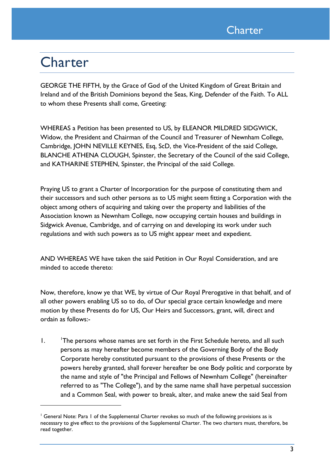

# **Charter**

GEORGE THE FIFTH, by the Grace of God of the United Kingdom of Great Britain and Ireland and of the British Dominions beyond the Seas, King, Defender of the Faith. To ALL to whom these Presents shall come, Greeting:

WHEREAS a Petition has been presented to US, by ELEANOR MILDRED SIDGWICK, Widow, the President and Chairman of the Council and Treasurer of Newnham College, Cambridge, JOHN NEVILLE KEYNES, Esq, ScD, the Vice-President of the said College, BLANCHE ATHENA CLOUGH, Spinster, the Secretary of the Council of the said College, and KATHARINE STEPHEN, Spinster, the Principal of the said College.

Praying US to grant a Charter of Incorporation for the purpose of constituting them and their successors and such other persons as to US might seem fitting a Corporation with the object among others of acquiring and taking over the property and liabilities of the Association known as Newnham College, now occupying certain houses and buildings in Sidgwick Avenue, Cambridge, and of carrying on and developing its work under such regulations and with such powers as to US might appear meet and expedient.

AND WHEREAS WE have taken the said Petition in Our Royal Consideration, and are minded to accede thereto:

Now, therefore, know ye that WE, by virtue of Our Royal Prerogative in that behalf, and of all other powers enabling US so to do, of Our special grace certain knowledge and mere motion by these Presents do for US, Our Heirs and Successors, grant, will, direct and ordain as follows:-

1. <sup>1</sup>The persons whose names are set forth in the First Schedule hereto, and all such persons as may hereafter become members of the Governing Body of the Body Corporate hereby constituted pursuant to the provisions of these Presents or the powers hereby granted, shall forever hereafter be one Body politic and corporate by the name and style of "the Principal and Fellows of Newnham College" (hereinafter referred to as "The College"), and by the same name shall have perpetual succession and a Common Seal, with power to break, alter, and make anew the said Seal from

<sup>&</sup>lt;sup>1</sup> General Note: Para 1 of the Supplemental Charter revokes so much of the following provisions as is necessary to give effect to the provisions of the Supplemental Charter. The two charters must, therefore, be read together.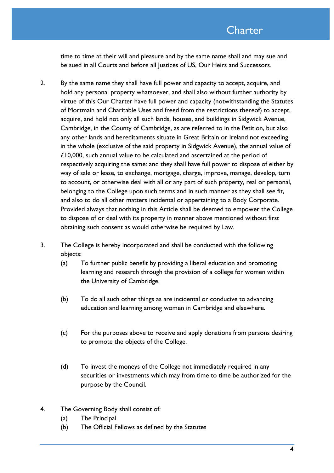time to time at their will and pleasure and by the same name shall and may sue and be sued in all Courts and before all Justices of US, Our Heirs and Successors.

- 2. By the same name they shall have full power and capacity to accept, acquire, and hold any personal property whatsoever, and shall also without further authority by virtue of this Our Charter have full power and capacity (notwithstanding the Statutes of Mortmain and Charitable Uses and freed from the restrictions thereof) to accept, acquire, and hold not only all such lands, houses, and buildings in Sidgwick Avenue, Cambridge, in the County of Cambridge, as are referred to in the Petition, but also any other lands and hereditaments situate in Great Britain or Ireland not exceeding in the whole (exclusive of the said property in Sidgwick Avenue), the annual value of £10,000, such annual value to be calculated and ascertained at the period of respectively acquiring the same: and they shall have full power to dispose of either by way of sale or lease, to exchange, mortgage, charge, improve, manage, develop, turn to account, or otherwise deal with all or any part of such property, real or personal, belonging to the College upon such terms and in such manner as they shall see fit, and also to do all other matters incidental or appertaining to a Body Corporate. Provided always that nothing in this Article shall be deemed to empower the College to dispose of or deal with its property in manner above mentioned without first obtaining such consent as would otherwise be required by Law.
- 3. The College is hereby incorporated and shall be conducted with the following objects:
	- (a) To further public benefit by providing a liberal education and promoting learning and research through the provision of a college for women within the University of Cambridge.
	- (b) To do all such other things as are incidental or conducive to advancing education and learning among women in Cambridge and elsewhere.
	- (c) For the purposes above to receive and apply donations from persons desiring to promote the objects of the College.
	- (d) To invest the moneys of the College not immediately required in any securities or investments which may from time to time be authorized for the purpose by the Council.
- 4. The Governing Body shall consist of:
	- (a) The Principal
	- (b) The Official Fellows as defined by the Statutes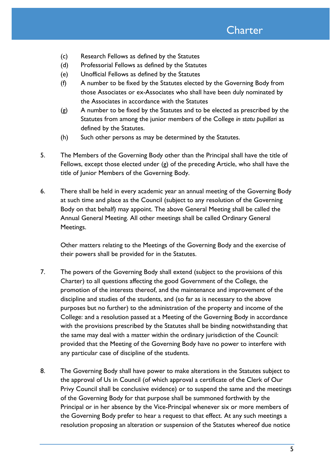- (c) Research Fellows as defined by the Statutes
- (d) Professorial Fellows as defined by the Statutes
- (e) Unofficial Fellows as defined by the Statutes
- (f) A number to be fixed by the Statutes elected by the Governing Body from those Associates or ex-Associates who shall have been duly nominated by the Associates in accordance with the Statutes
- <span id="page-4-0"></span>(g) A number to be fixed by the Statutes and to be elected as prescribed by the Statutes from among the junior members of the College *in statu pupillari* as defined by the Statutes.
- (h) Such other persons as may be determined by the Statutes.
- 5. The Members of the Governing Body other than the Principal shall have the title of Fellows, except those elected under [\(g\)](#page-4-0) of the preceding Article, who shall have the title of Junior Members of the Governing Body.
- 6. There shall be held in every academic year an annual meeting of the Governing Body at such time and place as the Council (subject to any resolution of the Governing Body on that behalf) may appoint. The above General Meeting shall be called the Annual General Meeting. All other meetings shall be called Ordinary General Meetings.

Other matters relating to the Meetings of the Governing Body and the exercise of their powers shall be provided for in the Statutes.

- <span id="page-4-1"></span>7. The powers of the Governing Body shall extend (subject to the provisions of this Charter) to all questions affecting the good Government of the College, the promotion of the interests thereof, and the maintenance and improvement of the discipline and studies of the students, and (so far as is necessary to the above purposes but no further) to the administration of the property and income of the College: and a resolution passed at a Meeting of the Governing Body in accordance with the provisions prescribed by the Statutes shall be binding notwithstanding that the same may deal with a matter within the ordinary jurisdiction of the Council: provided that the Meeting of the Governing Body have no power to interfere with any particular case of discipline of the students.
- 8. The Governing Body shall have power to make alterations in the Statutes subject to the approval of Us in Council (of which approval a certificate of the Clerk of Our Privy Council shall be conclusive evidence) or to suspend the same and the meetings of the Governing Body for that purpose shall be summoned forthwith by the Principal or in her absence by the Vice-Principal whenever six or more members of the Governing Body prefer to hear a request to that effect. At any such meetings a resolution proposing an alteration or suspension of the Statutes whereof due notice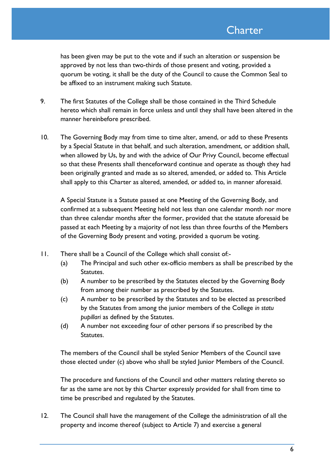has been given may be put to the vote and if such an alteration or suspension be approved by not less than two-thirds of those present and voting, provided a quorum be voting, it shall be the duty of the Council to cause the Common Seal to be affixed to an instrument making such Statute.

- 9. The first Statutes of the College shall be those contained in the Third Schedule hereto which shall remain in force unless and until they shall have been altered in the manner hereinbefore prescribed.
- 10. The Governing Body may from time to time alter, amend, or add to these Presents by a Special Statute in that behalf, and such alteration, amendment, or addition shall, when allowed by Us, by and with the advice of Our Privy Council, become effectual so that these Presents shall thenceforward continue and operate as though they had been originally granted and made as so altered, amended, or added to. This Article shall apply to this Charter as altered, amended, or added to, in manner aforesaid.

A Special Statute is a Statute passed at one Meeting of the Governing Body, and confirmed at a subsequent Meeting held not less than one calendar month nor more than three calendar months after the former, provided that the statute aforesaid be passed at each Meeting by a majority of not less than three fourths of the Members of the Governing Body present and voting, provided a quorum be voting.

- <span id="page-5-0"></span>11. There shall be a Council of the College which shall consist of:-
	- (a) The Principal and such other ex-officio members as shall be prescribed by the Statutes.
	- (b) A number to be prescribed by the Statutes elected by the Governing Body from among their number as prescribed by the Statutes.
	- (c) A number to be prescribed by the Statutes and to be elected as prescribed by the Statutes from among the junior members of the College *in statu pupillari* as defined by the Statutes.
	- (d) A number not exceeding four of other persons if so prescribed by the Statutes.

The members of the Council shall be styled Senior Members of the Council save those elected under [\(c\)](#page-5-0) above who shall be styled Junior Members of the Council.

The procedure and functions of the Council and other matters relating thereto so far as the same are not by this Charter expressly provided for shall from time to time be prescribed and regulated by the Statutes.

12. The Council shall have the management of the College the administration of all the property and income thereof (subject to Article [7\)](#page-4-1) and exercise a general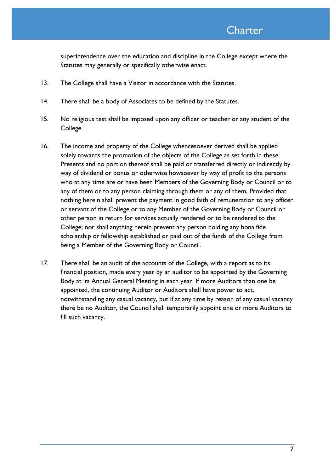superintendence over the education and discipline in the College except where the Statutes may generally or specifically otherwise enact.

- 13. The College shall have a Visitor in accordance with the Statutes.
- 14. There shall be a body of Associates to be defined by the Statutes.
- 15. No religious test shall be imposed upon any officer or teacher or any student of the College.
- 16. The income and property of the College whencesoever derived shall be applied solely towards the promotion of the objects of the College as set forth in these Presents and no portion thereof shall be paid or transferred directly or indirectly by way of dividend or bonus or otherwise howsoever by way of profit to the persons who at any time are or have been Members of the Governing Body or Council or to any of them or to any person claiming through them or any of them, Provided that nothing herein shall prevent the payment in good faith of remuneration to any officer or servant of the College or to any Member of the Governing Body or Council or other person in return for services actually rendered or to be rendered to the College; nor shall anything herein prevent any person holding any bona fide scholarship or fellowship established or paid out of the funds of the College from being a Member of the Governing Body or Council.
- 17. There shall be an audit of the accounts of the College, with a report as to its financial position, made every year by an auditor to be appointed by the Governing Body at its Annual General Meeting in each year. If more Auditors than one be appointed, the continuing Auditor or Auditors shall have power to act, notwithstanding any casual vacancy, but if at any time by reason of any casual vacancy there be no Auditor, the Council shall temporarily appoint one or more Auditors to fill such vacancy.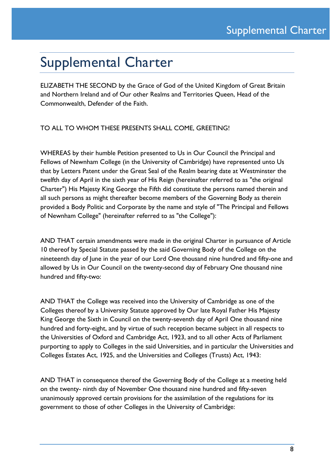# Supplemental Charter

ELIZABETH THE SECOND by the Grace of God of the United Kingdom of Great Britain and Northern Ireland and of Our other Realms and Territories Queen, Head of the Commonwealth, Defender of the Faith.

TO ALL TO WHOM THESE PRESENTS SHALL COME, GREETING!

WHEREAS by their humble Petition presented to Us in Our Council the Principal and Fellows of Newnham College (in the University of Cambridge) have represented unto Us that by Letters Patent under the Great Seal of the Realm bearing date at Westminster the twelfth day of April in the sixth year of His Reign (hereinafter referred to as "the original Charter") His Majesty King George the Fifth did constitute the persons named therein and all such persons as might thereafter become members of the Governing Body as therein provided a Body Politic and Corporate by the name and style of "The Principal and Fellows of Newnham College" (hereinafter referred to as "the College"):

AND THAT certain amendments were made in the original Charter in pursuance of Article 10 thereof by Special Statute passed by the said Governing Body of the College on the nineteenth day of June in the year of our Lord One thousand nine hundred and fifty-one and allowed by Us in Our Council on the twenty-second day of February One thousand nine hundred and fifty-two:

AND THAT the College was received into the University of Cambridge as one of the Colleges thereof by a University Statute approved by Our late Royal Father His Majesty King George the Sixth in Council on the twenty-seventh day of April One thousand nine hundred and forty-eight, and by virtue of such reception became subject in all respects to the Universities of Oxford and Cambridge Act, 1923, and to all other Acts of Parliament purporting to apply to Colleges in the said Universities, and in particular the Universities and Colleges Estates Act, 1925, and the Universities and Colleges (Trusts) Act, 1943:

AND THAT in consequence thereof the Governing Body of the College at a meeting held on the twenty- ninth day of November One thousand nine hundred and fifty-seven unanimously approved certain provisions for the assimilation of the regulations for its government to those of other Colleges in the University of Cambridge: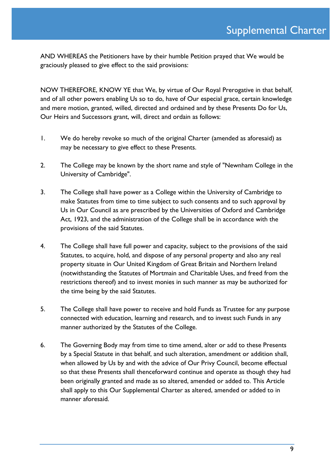AND WHEREAS the Petitioners have by their humble Petition prayed that We would be graciously pleased to give effect to the said provisions:

NOW THEREFORE, KNOW YE that We, by virtue of Our Royal Prerogative in that behalf, and of all other powers enabling Us so to do, have of Our especial grace, certain knowledge and mere motion, granted, willed, directed and ordained and by these Presents Do for Us, Our Heirs and Successors grant, will, direct and ordain as follows:

- 1. We do hereby revoke so much of the original Charter (amended as aforesaid) as may be necessary to give effect to these Presents.
- 2. The College may be known by the short name and style of "Newnham College in the University of Cambridge".
- 3. The College shall have power as a College within the University of Cambridge to make Statutes from time to time subject to such consents and to such approval by Us in Our Council as are prescribed by the Universities of Oxford and Cambridge Act, 1923, and the administration of the College shall be in accordance with the provisions of the said Statutes.
- 4. The College shall have full power and capacity, subject to the provisions of the said Statutes, to acquire, hold, and dispose of any personal property and also any real property situate in Our United Kingdom of Great Britain and Northern Ireland (notwithstanding the Statutes of Mortmain and Charitable Uses, and freed from the restrictions thereof) and to invest monies in such manner as may be authorized for the time being by the said Statutes.
- 5. The College shall have power to receive and hold Funds as Trustee for any purpose connected with education, learning and research, and to invest such Funds in any manner authorized by the Statutes of the College.
- 6. The Governing Body may from time to time amend, alter or add to these Presents by a Special Statute in that behalf, and such alteration, amendment or addition shall, when allowed by Us by and with the advice of Our Privy Council, become effectual so that these Presents shall thenceforward continue and operate as though they had been originally granted and made as so altered, amended or added to. This Article shall apply to this Our Supplemental Charter as altered, amended or added to in manner aforesaid.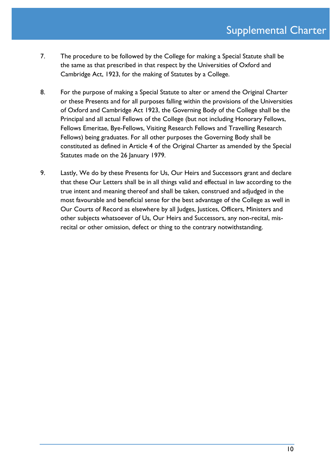- 7. The procedure to be followed by the College for making a Special Statute shall be the same as that prescribed in that respect by the Universities of Oxford and Cambridge Act, 1923, for the making of Statutes by a College.
- 8. For the purpose of making a Special Statute to alter or amend the Original Charter or these Presents and for all purposes falling within the provisions of the Universities of Oxford and Cambridge Act 1923, the Governing Body of the College shall be the Principal and all actual Fellows of the College (but not including Honorary Fellows, Fellows Emeritae, Bye-Fellows, Visiting Research Fellows and Travelling Research Fellows) being graduates. For all other purposes the Governing Body shall be constituted as defined in Article 4 of the Original Charter as amended by the Special Statutes made on the 26 January 1979.
- 9. Lastly, We do by these Presents for Us, Our Heirs and Successors grant and declare that these Our Letters shall be in all things valid and effectual in law according to the true intent and meaning thereof and shall be taken, construed and adjudged in the most favourable and beneficial sense for the best advantage of the College as well in Our Courts of Record as elsewhere by all Judges, Justices, Officers, Ministers and other subjects whatsoever of Us, Our Heirs and Successors, any non-recital, misrecital or other omission, defect or thing to the contrary notwithstanding.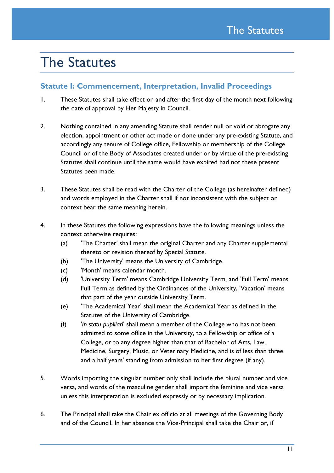# The Statutes

## **Statute I: Commencement, Interpretation, Invalid Proceedings**

- 1. These Statutes shall take effect on and after the first day of the month next following the date of approval by Her Majesty in Council.
- 2. Nothing contained in any amending Statute shall render null or void or abrogate any election, appointment or other act made or done under any pre-existing Statute, and accordingly any tenure of College office, Fellowship or membership of the College Council or of the Body of Associates created under or by virtue of the pre-existing Statutes shall continue until the same would have expired had not these present Statutes been made.
- 3. These Statutes shall be read with the Charter of the College (as hereinafter defined) and words employed in the Charter shall if not inconsistent with the subject or context bear the same meaning herein.
- 4. In these Statutes the following expressions have the following meanings unless the context otherwise requires:
	- (a) 'The Charter' shall mean the original Charter and any Charter supplemental thereto or revision thereof by Special Statute.
	- (b) 'The University' means the University of Cambridge.
	- (c) 'Month' means calendar month.
	- (d) 'University Term' means Cambridge University Term, and 'Full Term' means Full Term as defined by the Ordinances of the University, 'Vacation' means that part of the year outside University Term.
	- (e) 'The Academical Year' shall mean the Academical Year as defined in the Statutes of the University of Cambridge.
	- (f) '*In statu pupillari*' shall mean a member of the College who has not been admitted to some office in the University, to a Fellowship or office of a College, or to any degree higher than that of Bachelor of Arts, Law, Medicine, Surgery, Music, or Veterinary Medicine, and is of less than three and a half years' standing from admission to her first degree (if any).
- 5. Words importing the singular number only shall include the plural number and vice versa, and words of the masculine gender shall import the feminine and vice versa unless this interpretation is excluded expressly or by necessary implication.
- 6. The Principal shall take the Chair ex officio at all meetings of the Governing Body and of the Council. In her absence the Vice-Principal shall take the Chair or, if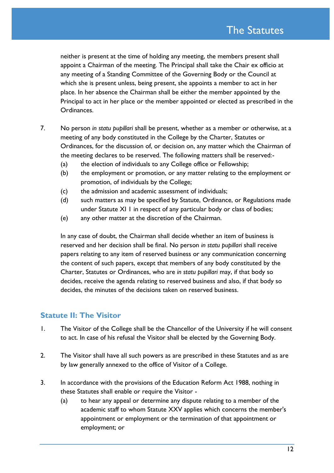neither is present at the time of holding any meeting, the members present shall appoint a Chairman of the meeting. The Principal shall take the Chair ex officio at any meeting of a Standing Committee of the Governing Body or the Council at which she is present unless, being present, she appoints a member to act in her place. In her absence the Chairman shall be either the member appointed by the Principal to act in her place or the member appointed or elected as prescribed in the Ordinances.

- 7. No person *in statu pupillari* shall be present, whether as a member or otherwise, at a meeting of any body constituted in the College by the Charter, Statutes or Ordinances, for the discussion of, or decision on, any matter which the Chairman of the meeting declares to be reserved. The following matters shall be reserved:-
	- (a) the election of individuals to any College office or Fellowship;
	- (b) the employment or promotion, or any matter relating to the employment or promotion, of individuals by the College;
	- (c) the admission and academic assessment of individuals;
	- (d) such matters as may be specified by Statute, Ordinance, or Regulations made under Statute XI 1 in respect of any particular body or class of bodies;
	- (e) any other matter at the discretion of the Chairman.

In any case of doubt, the Chairman shall decide whether an item of business is reserved and her decision shall be final. No person *in statu pupillari* shall receive papers relating to any item of reserved business or any communication concerning the content of such papers, except that members of any body constituted by the Charter, Statutes or Ordinances, who are *in statu pupillari* may, if that body so decides, receive the agenda relating to reserved business and also, if that body so decides, the minutes of the decisions taken on reserved business.

### **Statute II: The Visitor**

- 1. The Visitor of the College shall be the Chancellor of the University if he will consent to act. In case of his refusal the Visitor shall be elected by the Governing Body.
- 2. The Visitor shall have all such powers as are prescribed in these Statutes and as are by law generally annexed to the office of Visitor of a College.
- 3. In accordance with the provisions of the Education Reform Act 1988, nothing in these Statutes shall enable or require the Visitor -
	- (a) to hear any appeal or determine any dispute relating to a member of the academic staff to whom Statute XXV applies which concerns the member's appointment or employment or the termination of that appointment or employment; or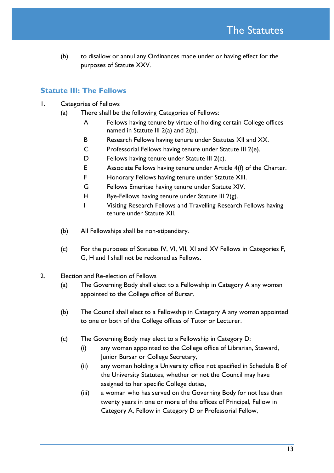(b) to disallow or annul any Ordinances made under or having effect for the purposes of Statute XXV.

## **Statute III: The Fellows**

- 1. Categories of Fellows
	- (a) There shall be the following Categories of Fellows:
		- A Fellows having tenure by virtue of holding certain College offices named in Statute III 2(a) and 2(b).
		- B Research Fellows having tenure under Statutes XII and XX.
		- C Professorial Fellows having tenure under Statute III 2(e).
		- D Fellows having tenure under Statute III 2(c).
		- E Associate Fellows having tenure under Article 4(f) of the Charter.
		- F Honorary Fellows having tenure under Statute XIII.
		- G Fellows Emeritae having tenure under Statute XIV.
		- H Bye-Fellows having tenure under Statute III  $2(g)$ .
		- I Visiting Research Fellows and Travelling Research Fellows having tenure under Statute XII.
	- (b) All Fellowships shall be non-stipendiary.
	- (c) For the purposes of Statutes IV, VI, VII, XI and XV Fellows in Categories F, G, H and I shall not be reckoned as Fellows.
- 2. Election and Re-election of Fellows
	- (a) The Governing Body shall elect to a Fellowship in Category A any woman appointed to the College office of Bursar.
	- (b) The Council shall elect to a Fellowship in Category A any woman appointed to one or both of the College offices of Tutor or Lecturer.
	- (c) The Governing Body may elect to a Fellowship in Category D:
		- (i) any woman appointed to the College office of Librarian, Steward, Junior Bursar or College Secretary,
		- (ii) any woman holding a University office not specified in Schedule B of the University Statutes, whether or not the Council may have assigned to her specific College duties,
		- (iii) a woman who has served on the Governing Body for not less than twenty years in one or more of the offices of Principal, Fellow in Category A, Fellow in Category D or Professorial Fellow,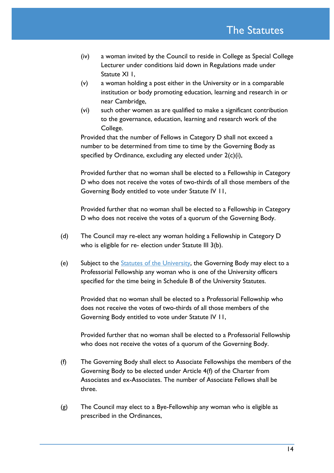- (iv) a woman invited by the Council to reside in College as Special College Lecturer under conditions laid down in Regulations made under Statute XI I.
- (v) a woman holding a post either in the University or in a comparable institution or body promoting education, learning and research in or near Cambridge,
- (vi) such other women as are qualified to make a significant contribution to the governance, education, learning and research work of the College.

Provided that the number of Fellows in Category D shall not exceed a number to be determined from time to time by the Governing Body as specified by Ordinance, excluding any elected under 2(c)(i),

Provided further that no woman shall be elected to a Fellowship in Category D who does not receive the votes of two-thirds of all those members of the Governing Body entitled to vote under Statute IV 11,

Provided further that no woman shall be elected to a Fellowship in Category D who does not receive the votes of a quorum of the Governing Body.

- (d) The Council may re-elect any woman holding a Fellowship in Category D who is eligible for re- election under Statute III 3(b).
- (e) Subject to the [Statutes of the University,](http://www.admin.cam.ac.uk/univ/so/) the Governing Body may elect to a Professorial Fellowship any woman who is one of the University officers specified for the time being in Schedule B of the University Statutes.

Provided that no woman shall be elected to a Professorial Fellowship who does not receive the votes of two-thirds of all those members of the Governing Body entitled to vote under Statute IV 11,

Provided further that no woman shall be elected to a Professorial Fellowship who does not receive the votes of a quorum of the Governing Body.

- (f) The Governing Body shall elect to Associate Fellowships the members of the Governing Body to be elected under Article 4(f) of the Charter from Associates and ex-Associates. The number of Associate Fellows shall be three.
- (g) The Council may elect to a Bye-Fellowship any woman who is eligible as prescribed in the Ordinances,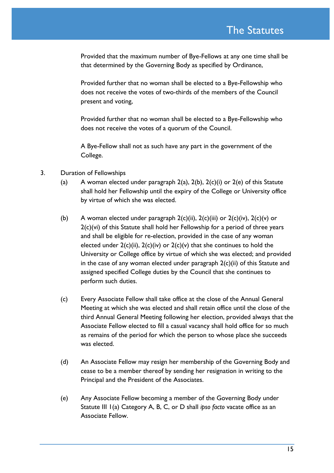Provided that the maximum number of Bye-Fellows at any one time shall be that determined by the Governing Body as specified by Ordinance,

Provided further that no woman shall be elected to a Bye-Fellowship who does not receive the votes of two-thirds of the members of the Council present and voting,

Provided further that no woman shall be elected to a Bye-Fellowship who does not receive the votes of a quorum of the Council.

A Bye-Fellow shall not as such have any part in the government of the College.

- 3. Duration of Fellowships
	- (a) A woman elected under paragraph  $2(a)$ ,  $2(b)$ ,  $2(c)(i)$  or  $2(e)$  of this Statute shall hold her Fellowship until the expiry of the College or University office by virtue of which she was elected.
	- (b) A woman elected under paragraph  $2(c)(ii)$ ,  $2(c)(iii)$  or  $2(c)(iv)$ ,  $2(c)(v)$  or 2(c)(vi) of this Statute shall hold her Fellowship for a period of three years and shall be eligible for re-election, provided in the case of any woman elected under  $2(c)(ii)$ ,  $2(c)(iv)$  or  $2(c)(v)$  that she continues to hold the University or College office by virtue of which she was elected; and provided in the case of any woman elected under paragraph 2(c)(ii) of this Statute and assigned specified College duties by the Council that she continues to perform such duties.
	- (c) Every Associate Fellow shall take office at the close of the Annual General Meeting at which she was elected and shall retain office until the close of the third Annual General Meeting following her election, provided always that the Associate Fellow elected to fill a casual vacancy shall hold office for so much as remains of the period for which the person to whose place she succeeds was elected.
	- (d) An Associate Fellow may resign her membership of the Governing Body and cease to be a member thereof by sending her resignation in writing to the Principal and the President of the Associates.
	- (e) Any Associate Fellow becoming a member of the Governing Body under Statute III 1(a) Category A, B, C, or D shall *ipso facto* vacate office as an Associate Fellow.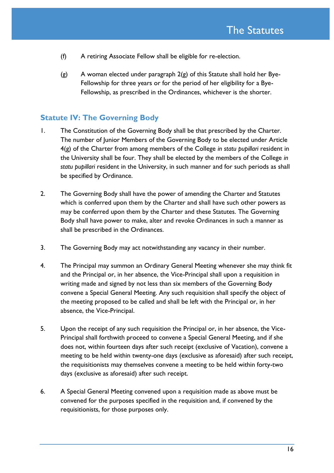- (f) A retiring Associate Fellow shall be eligible for re-election.
- (g) A woman elected under paragraph 2(g) of this Statute shall hold her Bye-Fellowship for three years or for the period of her eligibility for a Bye-Fellowship, as prescribed in the Ordinances, whichever is the shorter.

### **Statute IV: The Governing Body**

- 1. The Constitution of the Governing Body shall be that prescribed by the Charter. The number of Junior Members of the Governing Body to be elected under Article 4(g) of the Charter from among members of the College *in statu pupillari* resident in the University shall be four. They shall be elected by the members of the College *in statu pupillari* resident in the University, in such manner and for such periods as shall be specified by Ordinance.
- 2. The Governing Body shall have the power of amending the Charter and Statutes which is conferred upon them by the Charter and shall have such other powers as may be conferred upon them by the Charter and these Statutes. The Governing Body shall have power to make, alter and revoke Ordinances in such a manner as shall be prescribed in the Ordinances.
- 3. The Governing Body may act notwithstanding any vacancy in their number.
- 4. The Principal may summon an Ordinary General Meeting whenever she may think fit and the Principal or, in her absence, the Vice-Principal shall upon a requisition in writing made and signed by not less than six members of the Governing Body convene a Special General Meeting. Any such requisition shall specify the object of the meeting proposed to be called and shall be left with the Principal or, in her absence, the Vice-Principal.
- 5. Upon the receipt of any such requisition the Principal or, in her absence, the Vice-Principal shall forthwith proceed to convene a Special General Meeting, and if she does not, within fourteen days after such receipt (exclusive of Vacation), convene a meeting to be held within twenty-one days (exclusive as aforesaid) after such receipt, the requisitionists may themselves convene a meeting to be held within forty-two days (exclusive as aforesaid) after such receipt.
- 6. A Special General Meeting convened upon a requisition made as above must be convened for the purposes specified in the requisition and, if convened by the requisitionists, for those purposes only.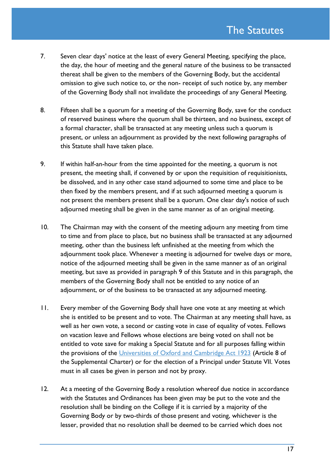- 7. Seven clear days' notice at the least of every General Meeting, specifying the place, the day, the hour of meeting and the general nature of the business to be transacted thereat shall be given to the members of the Governing Body, but the accidental omission to give such notice to, or the non- receipt of such notice by, any member of the Governing Body shall not invalidate the proceedings of any General Meeting.
- 8. Fifteen shall be a quorum for a meeting of the Governing Body, save for the conduct of reserved business where the quorum shall be thirteen, and no business, except of a formal character, shall be transacted at any meeting unless such a quorum is present, or unless an adjournment as provided by the next following paragraphs of this Statute shall have taken place.
- 9. If within half-an-hour from the time appointed for the meeting, a quorum is not present, the meeting shall, if convened by or upon the requisition of requisitionists, be dissolved, and in any other case stand adjourned to some time and place to be then fixed by the members present, and if at such adjourned meeting a quorum is not present the members present shall be a quorum. One clear day's notice of such adjourned meeting shall be given in the same manner as of an original meeting.
- 10. The Chairman may with the consent of the meeting adjourn any meeting from time to time and from place to place, but no business shall be transacted at any adjourned meeting, other than the business left unfinished at the meeting from which the adjournment took place. Whenever a meeting is adjourned for twelve days or more, notice of the adjourned meeting shall be given in the same manner as of an original meeting, but save as provided in paragraph 9 of this Statute and in this paragraph, the members of the Governing Body shall not be entitled to any notice of an adjournment, or of the business to be transacted at any adjourned meeting.
- 11. Every member of the Governing Body shall have one vote at any meeting at which she is entitled to be present and to vote. The Chairman at any meeting shall have, as well as her own vote, a second or casting vote in case of equality of votes. Fellows on vacation leave and Fellows whose elections are being voted on shall not be entitled to vote save for making a Special Statute and for all purposes falling within the provisions of the [Universities of Oxford and Cambridge Act 1923](http://www.legislation.gov.uk/ukpga/Geo5/13-14/33/contents) (Article 8 of the Supplemental Charter) or for the election of a Principal under Statute VII. Votes must in all cases be given in person and not by proxy.
- 12. At a meeting of the Governing Body a resolution whereof due notice in accordance with the Statutes and Ordinances has been given may be put to the vote and the resolution shall be binding on the College if it is carried by a majority of the Governing Body or by two-thirds of those present and voting, whichever is the lesser, provided that no resolution shall be deemed to be carried which does not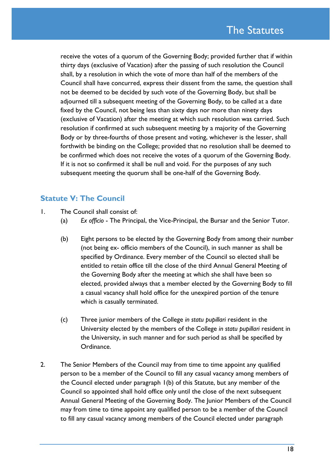receive the votes of a quorum of the Governing Body; provided further that if within thirty days (exclusive of Vacation) after the passing of such resolution the Council shall, by a resolution in which the vote of more than half of the members of the Council shall have concurred, express their dissent from the same, the question shall not be deemed to be decided by such vote of the Governing Body, but shall be adjourned till a subsequent meeting of the Governing Body, to be called at a date fixed by the Council, not being less than sixty days nor more than ninety days (exclusive of Vacation) after the meeting at which such resolution was carried. Such resolution if confirmed at such subsequent meeting by a majority of the Governing Body or by three-fourths of those present and voting, whichever is the lesser, shall forthwith be binding on the College; provided that no resolution shall be deemed to be confirmed which does not receive the votes of a quorum of the Governing Body. If it is not so confirmed it shall be null and void. For the purposes of any such subsequent meeting the quorum shall be one-half of the Governing Body.

## **Statute V: The Council**

- 1. The Council shall consist of:
	- (a) *Ex officio* The Principal, the Vice-Principal, the Bursar and the Senior Tutor.
	- (b) Eight persons to be elected by the Governing Body from among their number (not being ex- officio members of the Council), in such manner as shall be specified by Ordinance. Every member of the Council so elected shall be entitled to retain office till the close of the third Annual General Meeting of the Governing Body after the meeting at which she shall have been so elected, provided always that a member elected by the Governing Body to fill a casual vacancy shall hold office for the unexpired portion of the tenure which is casually terminated.
	- (c) Three junior members of the College *in statu pupillari* resident in the University elected by the members of the College *in statu pupillari* resident in the University, in such manner and for such period as shall be specified by Ordinance.
- 2. The Senior Members of the Council may from time to time appoint any qualified person to be a member of the Council to fill any casual vacancy among members of the Council elected under paragraph 1(b) of this Statute, but any member of the Council so appointed shall hold office only until the close of the next subsequent Annual General Meeting of the Governing Body. The Junior Members of the Council may from time to time appoint any qualified person to be a member of the Council to fill any casual vacancy among members of the Council elected under paragraph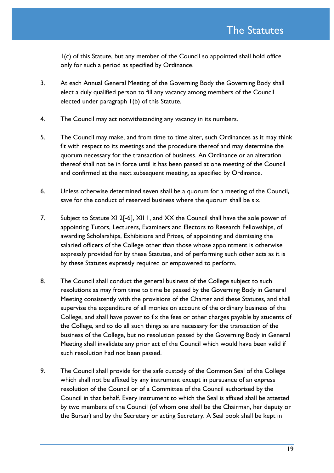1(c) of this Statute, but any member of the Council so appointed shall hold office only for such a period as specified by Ordinance.

- 3. At each Annual General Meeting of the Governing Body the Governing Body shall elect a duly qualified person to fill any vacancy among members of the Council elected under paragraph 1(b) of this Statute.
- 4. The Council may act notwithstanding any vacancy in its numbers.
- 5. The Council may make, and from time to time alter, such Ordinances as it may think fit with respect to its meetings and the procedure thereof and may determine the quorum necessary for the transaction of business. An Ordinance or an alteration thereof shall not be in force until it has been passed at one meeting of the Council and confirmed at the next subsequent meeting, as specified by Ordinance.
- 6. Unless otherwise determined seven shall be a quorum for a meeting of the Council, save for the conduct of reserved business where the quorum shall be six.
- 7. Subject to Statute XI 2[-6], XII 1, and XX the Council shall have the sole power of appointing Tutors, Lecturers, Examiners and Electors to Research Fellowships, of awarding Scholarships, Exhibitions and Prizes, of appointing and dismissing the salaried officers of the College other than those whose appointment is otherwise expressly provided for by these Statutes, and of performing such other acts as it is by these Statutes expressly required or empowered to perform.
- 8. The Council shall conduct the general business of the College subject to such resolutions as may from time to time be passed by the Governing Body in General Meeting consistently with the provisions of the Charter and these Statutes, and shall supervise the expenditure of all monies on account of the ordinary business of the College, and shall have power to fix the fees or other charges payable by students of the College, and to do all such things as are necessary for the transaction of the business of the College, but no resolution passed by the Governing Body in General Meeting shall invalidate any prior act of the Council which would have been valid if such resolution had not been passed.
- 9. The Council shall provide for the safe custody of the Common Seal of the College which shall not be affixed by any instrument except in pursuance of an express resolution of the Council or of a Committee of the Council authorised by the Council in that behalf. Every instrument to which the Seal is affixed shall be attested by two members of the Council (of whom one shall be the Chairman, her deputy or the Bursar) and by the Secretary or acting Secretary. A Seal book shall be kept in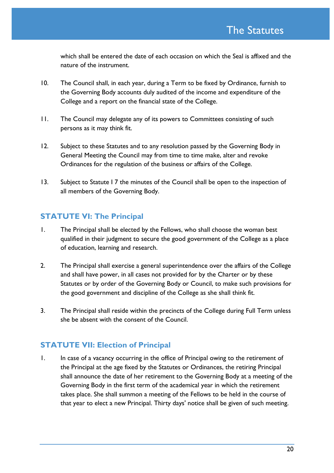which shall be entered the date of each occasion on which the Seal is affixed and the nature of the instrument.

- 10. The Council shall, in each year, during a Term to be fixed by Ordinance, furnish to the Governing Body accounts duly audited of the income and expenditure of the College and a report on the financial state of the College.
- 11. The Council may delegate any of its powers to Committees consisting of such persons as it may think fit.
- 12. Subject to these Statutes and to any resolution passed by the Governing Body in General Meeting the Council may from time to time make, alter and revoke Ordinances for the regulation of the business or affairs of the College.
- 13. Subject to Statute 17 the minutes of the Council shall be open to the inspection of all members of the Governing Body.

## **STATUTE VI: The Principal**

- 1. The Principal shall be elected by the Fellows, who shall choose the woman best qualified in their judgment to secure the good government of the College as a place of education, learning and research.
- 2. The Principal shall exercise a general superintendence over the affairs of the College and shall have power, in all cases not provided for by the Charter or by these Statutes or by order of the Governing Body or Council, to make such provisions for the good government and discipline of the College as she shall think fit.
- 3. The Principal shall reside within the precincts of the College during Full Term unless she be absent with the consent of the Council.

## **STATUTE VII: Election of Principal**

1. In case of a vacancy occurring in the office of Principal owing to the retirement of the Principal at the age fixed by the Statutes or Ordinances, the retiring Principal shall announce the date of her retirement to the Governing Body at a meeting of the Governing Body in the first term of the academical year in which the retirement takes place. She shall summon a meeting of the Fellows to be held in the course of that year to elect a new Principal. Thirty days' notice shall be given of such meeting.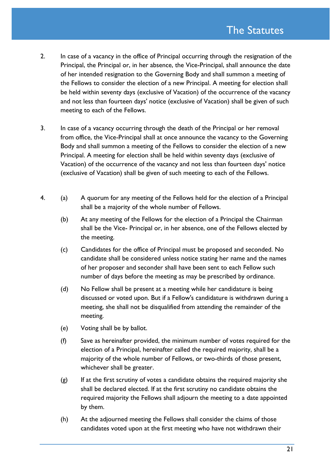- 2. In case of a vacancy in the office of Principal occurring through the resignation of the Principal, the Principal or, in her absence, the Vice-Principal, shall announce the date of her intended resignation to the Governing Body and shall summon a meeting of the Fellows to consider the election of a new Principal. A meeting for election shall be held within seventy days (exclusive of Vacation) of the occurrence of the vacancy and not less than fourteen days' notice (exclusive of Vacation) shall be given of such meeting to each of the Fellows.
- 3. In case of a vacancy occurring through the death of the Principal or her removal from office, the Vice-Principal shall at once announce the vacancy to the Governing Body and shall summon a meeting of the Fellows to consider the election of a new Principal. A meeting for election shall be held within seventy days (exclusive of Vacation) of the occurrence of the vacancy and not less than fourteen days' notice (exclusive of Vacation) shall be given of such meeting to each of the Fellows.
- 4. (a) A quorum for any meeting of the Fellows held for the election of a Principal shall be a majority of the whole number of Fellows.
	- (b) At any meeting of the Fellows for the election of a Principal the Chairman shall be the Vice- Principal or, in her absence, one of the Fellows elected by the meeting.
	- (c) Candidates for the office of Principal must be proposed and seconded. No candidate shall be considered unless notice stating her name and the names of her proposer and seconder shall have been sent to each Fellow such number of days before the meeting as may be prescribed by ordinance.
	- (d) No Fellow shall be present at a meeting while her candidature is being discussed or voted upon. But if a Fellow's candidature is withdrawn during a meeting, she shall not be disqualified from attending the remainder of the meeting.
	- (e) Voting shall be by ballot.
	- (f) Save as hereinafter provided, the minimum number of votes required for the election of a Principal, hereinafter called the required majority, shall be a majority of the whole number of Fellows, or two-thirds of those present, whichever shall be greater.
	- $(g)$  If at the first scrutiny of votes a candidate obtains the required majority she shall be declared elected. If at the first scrutiny no candidate obtains the required majority the Fellows shall adjourn the meeting to a date appointed by them.
	- (h) At the adjourned meeting the Fellows shall consider the claims of those candidates voted upon at the first meeting who have not withdrawn their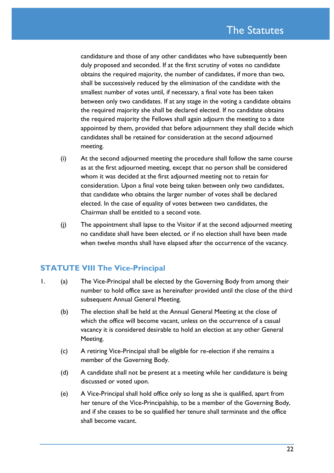candidature and those of any other candidates who have subsequently been duly proposed and seconded. If at the first scrutiny of votes no candidate obtains the required majority, the number of candidates, if more than two, shall be successively reduced by the elimination of the candidate with the smallest number of votes until, if necessary, a final vote has been taken between only two candidates. If at any stage in the voting a candidate obtains the required majority she shall be declared elected. If no candidate obtains the required majority the Fellows shall again adjourn the meeting to a date appointed by them, provided that before adjournment they shall decide which candidates shall be retained for consideration at the second adjourned meeting.

- (i) At the second adjourned meeting the procedure shall follow the same course as at the first adjourned meeting, except that no person shall be considered whom it was decided at the first adjourned meeting not to retain for consideration. Upon a final vote being taken between only two candidates, that candidate who obtains the larger number of votes shall be declared elected. In the case of equality of votes between two candidates, the Chairman shall be entitled to a second vote.
- (j) The appointment shall lapse to the Visitor if at the second adjourned meeting no candidate shall have been elected, or if no election shall have been made when twelve months shall have elapsed after the occurrence of the vacancy.

## **STATUTE VIII The Vice-Principal**

- 1. (a) The Vice-Principal shall be elected by the Governing Body from among their number to hold office save as hereinafter provided until the close of the third subsequent Annual General Meeting.
	- (b) The election shall be held at the Annual General Meeting at the close of which the office will become vacant, unless on the occurrence of a casual vacancy it is considered desirable to hold an election at any other General Meeting.
	- (c) A retiring Vice-Principal shall be eligible for re-election if she remains a member of the Governing Body.
	- (d) A candidate shall not be present at a meeting while her candidature is being discussed or voted upon.
	- (e) A Vice-Principal shall hold office only so long as she is qualified, apart from her tenure of the Vice-Principalship, to be a member of the Governing Body, and if she ceases to be so qualified her tenure shall terminate and the office shall become vacant.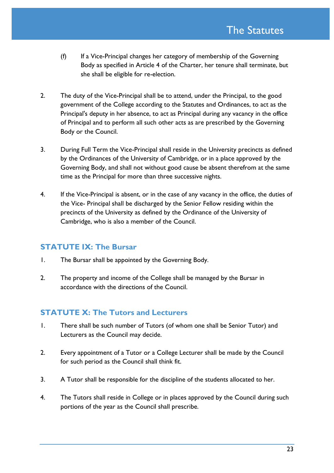- (f) If a Vice-Principal changes her category of membership of the Governing Body as specified in Article 4 of the Charter, her tenure shall terminate, but she shall be eligible for re-election.
- 2. The duty of the Vice-Principal shall be to attend, under the Principal, to the good government of the College according to the Statutes and Ordinances, to act as the Principal's deputy in her absence, to act as Principal during any vacancy in the office of Principal and to perform all such other acts as are prescribed by the Governing Body or the Council.
- 3. During Full Term the Vice-Principal shall reside in the University precincts as defined by the Ordinances of the University of Cambridge, or in a place approved by the Governing Body, and shall not without good cause be absent therefrom at the same time as the Principal for more than three successive nights.
- 4. If the Vice-Principal is absent, or in the case of any vacancy in the office, the duties of the Vice- Principal shall be discharged by the Senior Fellow residing within the precincts of the University as defined by the Ordinance of the University of Cambridge, who is also a member of the Council.

## **STATUTE IX: The Bursar**

- 1. The Bursar shall be appointed by the Governing Body.
- 2. The property and income of the College shall be managed by the Bursar in accordance with the directions of the Council.

## **STATUTE X: The Tutors and Lecturers**

- 1. There shall be such number of Tutors (of whom one shall be Senior Tutor) and Lecturers as the Council may decide.
- 2. Every appointment of a Tutor or a College Lecturer shall be made by the Council for such period as the Council shall think fit.
- 3. A Tutor shall be responsible for the discipline of the students allocated to her.
- 4. The Tutors shall reside in College or in places approved by the Council during such portions of the year as the Council shall prescribe.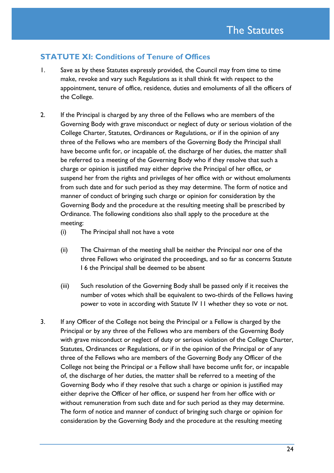## **STATUTE XI: Conditions of Tenure of Offices**

- 1. Save as by these Statutes expressly provided, the Council may from time to time make, revoke and vary such Regulations as it shall think fit with respect to the appointment, tenure of office, residence, duties and emoluments of all the officers of the College.
- 2. If the Principal is charged by any three of the Fellows who are members of the Governing Body with grave misconduct or neglect of duty or serious violation of the College Charter, Statutes, Ordinances or Regulations, or if in the opinion of any three of the Fellows who are members of the Governing Body the Principal shall have become unfit for, or incapable of, the discharge of her duties, the matter shall be referred to a meeting of the Governing Body who if they resolve that such a charge or opinion is justified may either deprive the Principal of her office, or suspend her from the rights and privileges of her office with or without emoluments from such date and for such period as they may determine. The form of notice and manner of conduct of bringing such charge or opinion for consideration by the Governing Body and the procedure at the resulting meeting shall be prescribed by Ordinance. The following conditions also shall apply to the procedure at the meeting:
	- (i) The Principal shall not have a vote
	- (ii) The Chairman of the meeting shall be neither the Principal nor one of the three Fellows who originated the proceedings, and so far as concerns Statute I 6 the Principal shall be deemed to be absent
	- (iii) Such resolution of the Governing Body shall be passed only if it receives the number of votes which shall be equivalent to two-thirds of the Fellows having power to vote in according with Statute IV 11 whether they so vote or not.
- 3. If any Officer of the College not being the Principal or a Fellow is charged by the Principal or by any three of the Fellows who are members of the Governing Body with grave misconduct or neglect of duty or serious violation of the College Charter, Statutes, Ordinances or Regulations, or if in the opinion of the Principal or of any three of the Fellows who are members of the Governing Body any Officer of the College not being the Principal or a Fellow shall have become unfit for, or incapable of, the discharge of her duties, the matter shall be referred to a meeting of the Governing Body who if they resolve that such a charge or opinion is justified may either deprive the Officer of her office, or suspend her from her office with or without remuneration from such date and for such period as they may determine. The form of notice and manner of conduct of bringing such charge or opinion for consideration by the Governing Body and the procedure at the resulting meeting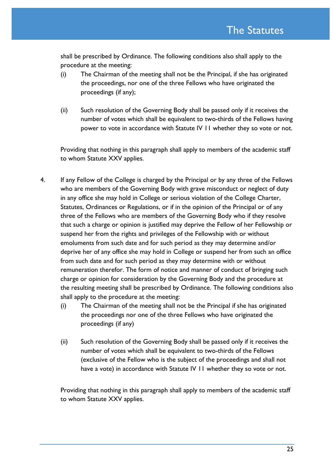shall be prescribed by Ordinance. The following conditions also shall apply to the procedure at the meeting:

- (i) The Chairman of the meeting shall not be the Principal, if she has originated the proceedings, nor one of the three Fellows who have originated the proceedings (if any);
- (ii) Such resolution of the Governing Body shall be passed only if it receives the number of votes which shall be equivalent to two-thirds of the Fellows having power to vote in accordance with Statute IV 11 whether they so vote or not.

Providing that nothing in this paragraph shall apply to members of the academic staff to whom Statute XXV applies.

- 4. If any Fellow of the College is charged by the Principal or by any three of the Fellows who are members of the Governing Body with grave misconduct or neglect of duty in any office she may hold in College or serious violation of the College Charter, Statutes, Ordinances or Regulations, or if in the opinion of the Principal or of any three of the Fellows who are members of the Governing Body who if they resolve that such a charge or opinion is justified may deprive the Fellow of her Fellowship or suspend her from the rights and privileges of the Fellowship with or without emoluments from such date and for such period as they may determine and/or deprive her of any office she may hold in College or suspend her from such an office from such date and for such period as they may determine with or without remuneration therefor. The form of notice and manner of conduct of bringing such charge or opinion for consideration by the Governing Body and the procedure at the resulting meeting shall be prescribed by Ordinance. The following conditions also shall apply to the procedure at the meeting:
	- (i) The Chairman of the meeting shall not be the Principal if she has originated the proceedings nor one of the three Fellows who have originated the proceedings (if any)
	- (ii) Such resolution of the Governing Body shall be passed only if it receives the number of votes which shall be equivalent to two-thirds of the Fellows (exclusive of the Fellow who is the subject of the proceedings and shall not have a vote) in accordance with Statute IV 11 whether they so vote or not.

Providing that nothing in this paragraph shall apply to members of the academic staff to whom Statute XXV applies.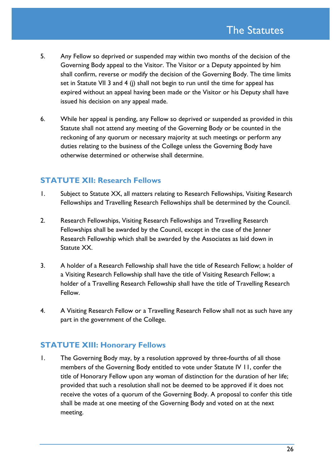- 5. Any Fellow so deprived or suspended may within two months of the decision of the Governing Body appeal to the Visitor. The Visitor or a Deputy appointed by him shall confirm, reverse or modify the decision of the Governing Body. The time limits set in Statute VII 3 and 4 (j) shall not begin to run until the time for appeal has expired without an appeal having been made or the Visitor or his Deputy shall have issued his decision on any appeal made.
- 6. While her appeal is pending, any Fellow so deprived or suspended as provided in this Statute shall not attend any meeting of the Governing Body or be counted in the reckoning of any quorum or necessary majority at such meetings or perform any duties relating to the business of the College unless the Governing Body have otherwise determined or otherwise shall determine.

## **STATUTE XII: Research Fellows**

- 1. Subject to Statute XX, all matters relating to Research Fellowships, Visiting Research Fellowships and Travelling Research Fellowships shall be determined by the Council.
- 2. Research Fellowships, Visiting Research Fellowships and Travelling Research Fellowships shall be awarded by the Council, except in the case of the Jenner Research Fellowship which shall be awarded by the Associates as laid down in Statute XX.
- 3. A holder of a Research Fellowship shall have the title of Research Fellow; a holder of a Visiting Research Fellowship shall have the title of Visiting Research Fellow; a holder of a Travelling Research Fellowship shall have the title of Travelling Research Fellow.
- 4. A Visiting Research Fellow or a Travelling Research Fellow shall not as such have any part in the government of the College.

### **STATUTE XIII: Honorary Fellows**

1. The Governing Body may, by a resolution approved by three-fourths of all those members of the Governing Body entitled to vote under Statute IV 11, confer the title of Honorary Fellow upon any woman of distinction for the duration of her life; provided that such a resolution shall not be deemed to be approved if it does not receive the votes of a quorum of the Governing Body. A proposal to confer this title shall be made at one meeting of the Governing Body and voted on at the next meeting.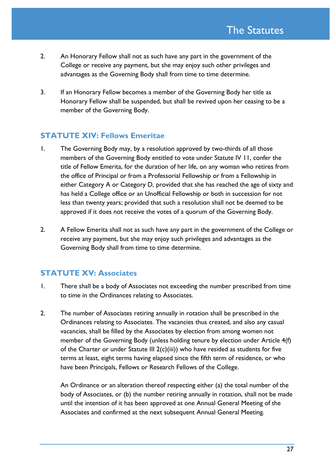- 2. An Honorary Fellow shall not as such have any part in the government of the College or receive any payment, but she may enjoy such other privileges and advantages as the Governing Body shall from time to time determine.
- 3. If an Honorary Fellow becomes a member of the Governing Body her title as Honorary Fellow shall be suspended, but shall be revived upon her ceasing to be a member of the Governing Body.

## **STATUTE XIV: Fellows Emeritae**

- 1. The Governing Body may, by a resolution approved by two-thirds of all those members of the Governing Body entitled to vote under Statute IV 11, confer the title of Fellow Emerita, for the duration of her life, on any woman who retires from the office of Principal or from a Professorial Fellowship or from a Fellowship in either Category A or Category D, provided that she has reached the age of sixty and has held a College office or an Unofficial Fellowship or both in succession for not less than twenty years; provided that such a resolution shall not be deemed to be approved if it does not receive the votes of a quorum of the Governing Body.
- 2. A Fellow Emerita shall not as such have any part in the government of the College or receive any payment, but she may enjoy such privileges and advantages as the Governing Body shall from time to time determine.

# **STATUTE XV: Associates**

- 1. There shall be a body of Associates not exceeding the number prescribed from time to time in the Ordinances relating to Associates.
- 2. The number of Associates retiring annually in rotation shall be prescribed in the Ordinances relating to Associates. The vacancies thus created, and also any casual vacancies, shall be filled by the Associates by election from among women not member of the Governing Body (unless holding tenure by election under Article 4(f) of the Charter or under Statute III 2(c)(iii)) who have resided as students for five terms at least, eight terms having elapsed since the fifth term of residence, or who have been Principals, Fellows or Research Fellows of the College.

An Ordinance or an alteration thereof respecting either (a) the total number of the body of Associates, or (b) the number retiring annually in rotation, shall not be made until the intention of it has been approved at one Annual General Meeting of the Associates and confirmed at the next subsequent Annual General Meeting.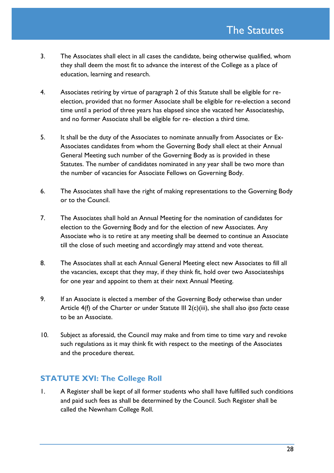- 3. The Associates shall elect in all cases the candidate, being otherwise qualified, whom they shall deem the most fit to advance the interest of the College as a place of education, learning and research.
- 4. Associates retiring by virtue of paragraph 2 of this Statute shall be eligible for reelection, provided that no former Associate shall be eligible for re-election a second time until a period of three years has elapsed since she vacated her Associateship, and no former Associate shall be eligible for re- election a third time.
- 5. It shall be the duty of the Associates to nominate annually from Associates or Ex-Associates candidates from whom the Governing Body shall elect at their Annual General Meeting such number of the Governing Body as is provided in these Statutes. The number of candidates nominated in any year shall be two more than the number of vacancies for Associate Fellows on Governing Body.
- 6. The Associates shall have the right of making representations to the Governing Body or to the Council.
- 7. The Associates shall hold an Annual Meeting for the nomination of candidates for election to the Governing Body and for the election of new Associates. Any Associate who is to retire at any meeting shall be deemed to continue an Associate till the close of such meeting and accordingly may attend and vote thereat.
- 8. The Associates shall at each Annual General Meeting elect new Associates to fill all the vacancies, except that they may, if they think fit, hold over two Associateships for one year and appoint to them at their next Annual Meeting.
- 9. If an Associate is elected a member of the Governing Body otherwise than under Article 4(f) of the Charter or under Statute III 2(c)(iii), she shall also *ipso facto* cease to be an Associate.
- 10. Subject as aforesaid, the Council may make and from time to time vary and revoke such regulations as it may think fit with respect to the meetings of the Associates and the procedure thereat.

## **STATUTE XVI: The College Roll**

1. A Register shall be kept of all former students who shall have fulfilled such conditions and paid such fees as shall be determined by the Council. Such Register shall be called the Newnham College Roll.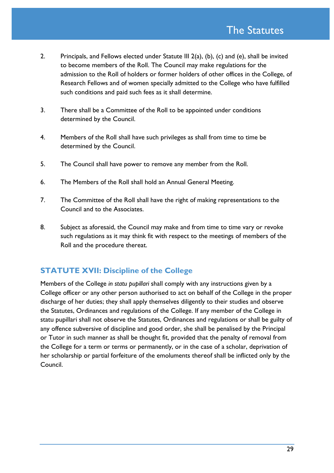- 2. Principals, and Fellows elected under Statute III 2(a), (b), (c) and (e), shall be invited to become members of the Roll. The Council may make regulations for the admission to the Roll of holders or former holders of other offices in the College, of Research Fellows and of women specially admitted to the College who have fulfilled such conditions and paid such fees as it shall determine.
- 3. There shall be a Committee of the Roll to be appointed under conditions determined by the Council.
- 4. Members of the Roll shall have such privileges as shall from time to time be determined by the Council.
- 5. The Council shall have power to remove any member from the Roll.
- 6. The Members of the Roll shall hold an Annual General Meeting.
- 7. The Committee of the Roll shall have the right of making representations to the Council and to the Associates.
- 8. Subject as aforesaid, the Council may make and from time to time vary or revoke such regulations as it may think fit with respect to the meetings of members of the Roll and the procedure thereat.

# **STATUTE XVII: Discipline of the College**

Members of the College *in statu pupillari* shall comply with any instructions given by a College officer or any other person authorised to act on behalf of the College in the proper discharge of her duties; they shall apply themselves diligently to their studies and observe the Statutes, Ordinances and regulations of the College. If any member of the College in statu pupillari shall not observe the Statutes, Ordinances and regulations or shall be guilty of any offence subversive of discipline and good order, she shall be penalised by the Principal or Tutor in such manner as shall be thought fit, provided that the penalty of removal from the College for a term or terms or permanently, or in the case of a scholar, deprivation of her scholarship or partial forfeiture of the emoluments thereof shall be inflicted only by the Council.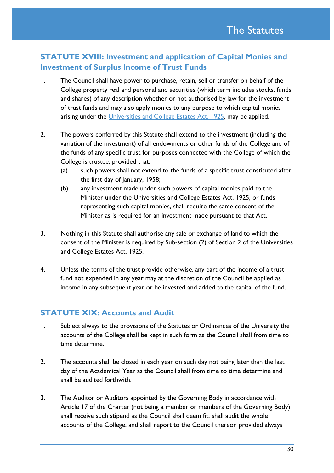# **STATUTE XVIII: Investment and application of Capital Monies and Investment of Surplus Income of Trust Funds**

- 1. The Council shall have power to purchase, retain, sell or transfer on behalf of the College property real and personal and securities (which term includes stocks, funds and shares) of any description whether or not authorised by law for the investment of trust funds and may also apply monies to any purpose to which capital monies arising under the [Universities and College Estates Act, 1925,](http://www.legislation.gov.uk/ukpga/Geo5/15-16/24/contents) may be applied.
- 2. The powers conferred by this Statute shall extend to the investment (including the variation of the investment) of all endowments or other funds of the College and of the funds of any specific trust for purposes connected with the College of which the College is trustee, provided that:
	- (a) such powers shall not extend to the funds of a specific trust constituted after the first day of January, 1958;
	- (b) any investment made under such powers of capital monies paid to the Minister under the Universities and College Estates Act, 1925, or funds representing such capital monies, shall require the same consent of the Minister as is required for an investment made pursuant to that Act.
- 3. Nothing in this Statute shall authorise any sale or exchange of land to which the consent of the Minister is required by Sub-section (2) of Section 2 of the Universities and College Estates Act, 1925.
- 4. Unless the terms of the trust provide otherwise, any part of the income of a trust fund not expended in any year may at the discretion of the Council be applied as income in any subsequent year or be invested and added to the capital of the fund.

# **STATUTE XIX: Accounts and Audit**

- 1. Subject always to the provisions of the Statutes or Ordinances of the University the accounts of the College shall be kept in such form as the Council shall from time to time determine.
- 2. The accounts shall be closed in each year on such day not being later than the last day of the Academical Year as the Council shall from time to time determine and shall be audited forthwith.
- 3. The Auditor or Auditors appointed by the Governing Body in accordance with Article 17 of the Charter (not being a member or members of the Governing Body) shall receive such stipend as the Council shall deem fit, shall audit the whole accounts of the College, and shall report to the Council thereon provided always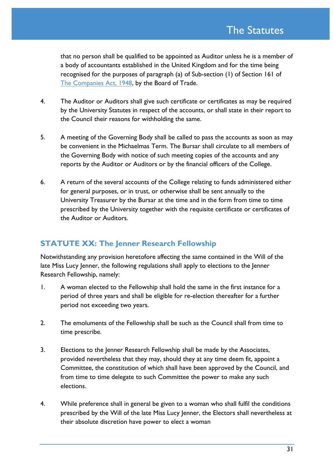that no person shall be qualified to be appointed as Auditor unless he is a member of a body of accountants established in the United Kingdom and for the time being recognised for the purposes of paragraph (a) of Sub-section (1) of Section 161 of [The Companies Act, 1948,](http://www.legislation.gov.uk/ukpga/1948/38/contents/enacted) by the Board of Trade.

- 4. The Auditor or Auditors shall give such certificate or certificates as may be required by the University Statutes in respect of the accounts, or shall state in their report to the Council their reasons for withholding the same.
- 5. A meeting of the Governing Body shall be called to pass the accounts as soon as may be convenient in the Michaelmas Term. The Bursar shall circulate to all members of the Governing Body with notice of such meeting copies of the accounts and any reports by the Auditor or Auditors or by the financial officers of the College.
- 6. A return of the several accounts of the College relating to funds administered either for general purposes, or in trust, or otherwise shall be sent annually to the University Treasurer by the Bursar at the time and in the form from time to time prescribed by the University together with the requisite certificate or certificates of the Auditor or Auditors.

# **STATUTE XX: The Jenner Research Fellowship**

Notwithstanding any provision heretofore affecting the same contained in the Will of the late Miss Lucy Jenner, the following regulations shall apply to elections to the Jenner Research Fellowship, namely:

- 1. A woman elected to the Fellowship shall hold the same in the first instance for a period of three years and shall be eligible for re-election thereafter for a further period not exceeding two years.
- 2. The emoluments of the Fellowship shall be such as the Council shall from time to time prescribe.
- 3. Elections to the Jenner Research Fellowship shall be made by the Associates, provided nevertheless that they may, should they at any time deem fit, appoint a Committee, the constitution of which shall have been approved by the Council, and from time to time delegate to such Committee the power to make any such elections.
- 4. While preference shall in general be given to a woman who shall fulfil the conditions prescribed by the Will of the late Miss Lucy Jenner, the Electors shall nevertheless at their absolute discretion have power to elect a woman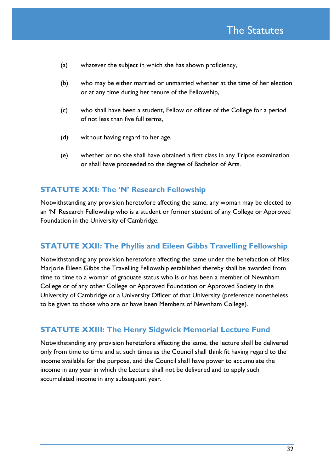- (a) whatever the subject in which she has shown proficiency,
- (b) who may be either married or unmarried whether at the time of her election or at any time during her tenure of the Fellowship,
- (c) who shall have been a student, Fellow or officer of the College for a period of not less than five full terms,
- (d) without having regard to her age,
- (e) whether or no she shall have obtained a first class in any Tripos examination or shall have proceeded to the degree of Bachelor of Arts.

#### **STATUTE XXI: The 'N' Research Fellowship**

Notwithstanding any provision heretofore affecting the same, any woman may be elected to an 'N' Research Fellowship who is a student or former student of any College or Approved Foundation in the University of Cambridge.

#### **STATUTE XXII: The Phyllis and Eileen Gibbs Travelling Fellowship**

Notwithstanding any provision heretofore affecting the same under the benefaction of Miss Marjorie Eileen Gibbs the Travelling Fellowship established thereby shall be awarded from time to time to a woman of graduate status who is or has been a member of Newnham College or of any other College or Approved Foundation or Approved Society in the University of Cambridge or a University Officer of that University (preference nonetheless to be given to those who are or have been Members of Newnham College).

#### **STATUTE XXIII: The Henry Sidgwick Memorial Lecture Fund**

Notwithstanding any provision heretofore affecting the same, the lecture shall be delivered only from time to time and at such times as the Council shall think fit having regard to the income available for the purpose, and the Council shall have power to accumulate the income in any year in which the Lecture shall not be delivered and to apply such accumulated income in any subsequent year.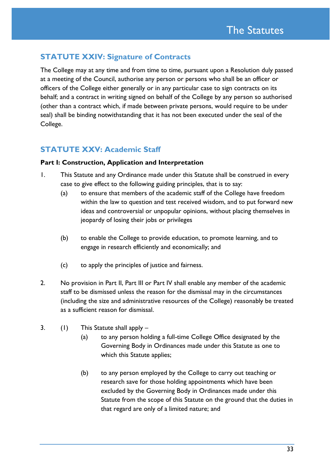# **STATUTE XXIV: Signature of Contracts**

The College may at any time and from time to time, pursuant upon a Resolution duly passed at a meeting of the Council, authorise any person or persons who shall be an officer or officers of the College either generally or in any particular case to sign contracts on its behalf; and a contract in writing signed on behalf of the College by any person so authorised (other than a contract which, if made between private persons, would require to be under seal) shall be binding notwithstanding that it has not been executed under the seal of the College.

# **STATUTE XXV: Academic Staff**

#### **Part I: Construction, Application and Interpretation**

- 1. This Statute and any Ordinance made under this Statute shall be construed in every case to give effect to the following guiding principles, that is to say:
	- (a) to ensure that members of the academic staff of the College have freedom within the law to question and test received wisdom, and to put forward new ideas and controversial or unpopular opinions, without placing themselves in jeopardy of losing their jobs or privileges
	- (b) to enable the College to provide education, to promote learning, and to engage in research efficiently and economically; and
	- (c) to apply the principles of justice and fairness.
- 2. No provision in Part II, Part III or Part IV shall enable any member of the academic staff to be dismissed unless the reason for the dismissal may in the circumstances (including the size and administrative resources of the College) reasonably be treated as a sufficient reason for dismissal.
- 3. (1) This Statute shall apply
	- (a) to any person holding a full-time College Office designated by the Governing Body in Ordinances made under this Statute as one to which this Statute applies;
	- (b) to any person employed by the College to carry out teaching or research save for those holding appointments which have been excluded by the Governing Body in Ordinances made under this Statute from the scope of this Statute on the ground that the duties in that regard are only of a limited nature; and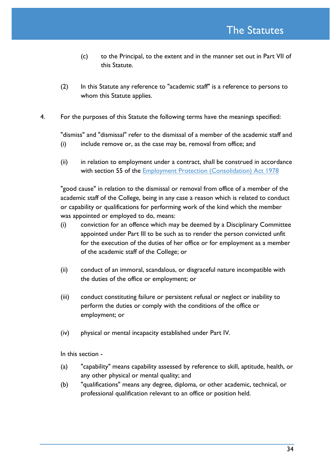- (c) to the Principal, to the extent and in the manner set out in Part VII of this Statute.
- (2) In this Statute any reference to "academic staff" is a reference to persons to whom this Statute applies.
- 4. For the purposes of this Statute the following terms have the meanings specified:

"dismiss" and "dismissal" refer to the dismissal of a member of the academic staff and

- (i) include remove or, as the case may be, removal from office; and
- (ii) in relation to employment under a contract, shall be construed in accordance with section 55 of the **Employment Protection (Consolidation)** Act 1978

"good cause" in relation to the dismissal or removal from office of a member of the academic staff of the College, being in any case a reason which is related to conduct or capability or qualifications for performing work of the kind which the member was appointed or employed to do, means:

- (i) conviction for an offence which may be deemed by a Disciplinary Committee appointed under Part III to be such as to render the person convicted unfit for the execution of the duties of her office or for employment as a member of the academic staff of the College; or
- (ii) conduct of an immoral, scandalous, or disgraceful nature incompatible with the duties of the office or employment; or
- (iii) conduct constituting failure or persistent refusal or neglect or inability to perform the duties or comply with the conditions of the office or employment; or
- (iv) physical or mental incapacity established under Part IV.

In this section -

- (a) "capability" means capability assessed by reference to skill, aptitude, health, or any other physical or mental quality; and
- (b) "qualifications" means any degree, diploma, or other academic, technical, or professional qualification relevant to an office or position held.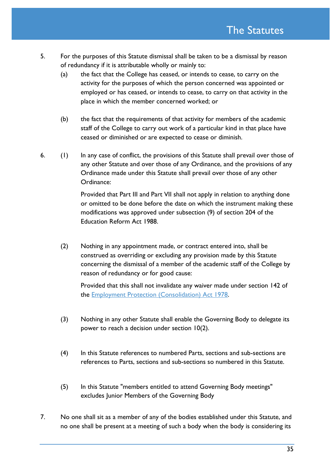- 5. For the purposes of this Statute dismissal shall be taken to be a dismissal by reason of redundancy if it is attributable wholly or mainly to:
	- (a) the fact that the College has ceased, or intends to cease, to carry on the activity for the purposes of which the person concerned was appointed or employed or has ceased, or intends to cease, to carry on that activity in the place in which the member concerned worked; or
	- (b) the fact that the requirements of that activity for members of the academic staff of the College to carry out work of a particular kind in that place have ceased or diminished or are expected to cease or diminish.
- 6. (1) In any case of conflict, the provisions of this Statute shall prevail over those of any other Statute and over those of any Ordinance, and the provisions of any Ordinance made under this Statute shall prevail over those of any other Ordinance:

Provided that Part III and Part VII shall not apply in relation to anything done or omitted to be done before the date on which the instrument making these modifications was approved under subsection (9) of section 204 of the Education Reform Act 1988.

(2) Nothing in any appointment made, or contract entered into, shall be construed as overriding or excluding any provision made by this Statute concerning the dismissal of a member of the academic staff of the College by reason of redundancy or for good cause:

Provided that this shall not invalidate any waiver made under section 142 of the Employment [Protection \(Consolidation\) Act 1978.](http://www.legislation.gov.uk/ukpga/1978/44/contents)

- (3) Nothing in any other Statute shall enable the Governing Body to delegate its power to reach a decision under section 10(2).
- (4) In this Statute references to numbered Parts, sections and sub-sections are references to Parts, sections and sub-sections so numbered in this Statute.
- (5) In this Statute "members entitled to attend Governing Body meetings" excludes Junior Members of the Governing Body
- 7. No one shall sit as a member of any of the bodies established under this Statute, and no one shall be present at a meeting of such a body when the body is considering its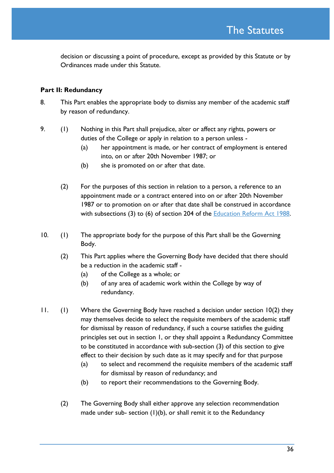decision or discussing a point of procedure, except as provided by this Statute or by Ordinances made under this Statute.

#### **Part II: Redundancy**

- 8. This Part enables the appropriate body to dismiss any member of the academic staff by reason of redundancy.
- 9. (1) Nothing in this Part shall prejudice, alter or affect any rights, powers or duties of the College or apply in relation to a person unless -
	- (a) her appointment is made, or her contract of employment is entered into, on or after 20th November 1987; or
	- (b) she is promoted on or after that date.
	- (2) For the purposes of this section in relation to a person, a reference to an appointment made or a contract entered into on or after 20th November 1987 or to promotion on or after that date shall be construed in accordance with subsections (3) to (6) of section 204 of the Education [Reform Act 1988.](http://www.legislation.gov.uk/ukpga/1988/40/contents)
- 10. (1) The appropriate body for the purpose of this Part shall be the Governing Body.
	- (2) This Part applies where the Governing Body have decided that there should be a reduction in the academic staff -
		- (a) of the College as a whole; or
		- (b) of any area of academic work within the College by way of redundancy.
- 11. (1) Where the Governing Body have reached a decision under section 10(2) they may themselves decide to select the requisite members of the academic staff for dismissal by reason of redundancy, if such a course satisfies the guiding principles set out in section 1, or they shall appoint a Redundancy Committee to be constituted in accordance with sub-section (3) of this section to give effect to their decision by such date as it may specify and for that purpose
	- (a) to select and recommend the requisite members of the academic staff for dismissal by reason of redundancy; and
	- (b) to report their recommendations to the Governing Body.
	- (2) The Governing Body shall either approve any selection recommendation made under sub- section  $(1)(b)$ , or shall remit it to the Redundancy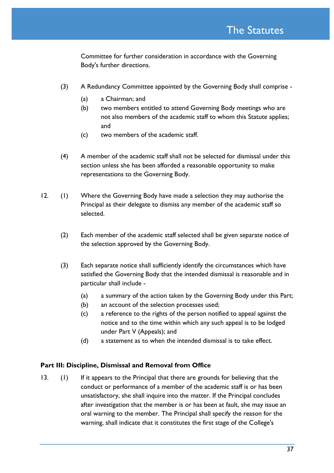Committee for further consideration in accordance with the Governing Body's further directions.

- (3) A Redundancy Committee appointed by the Governing Body shall comprise
	- (a) a Chairman; and
	- (b) two members entitled to attend Governing Body meetings who are not also members of the academic staff to whom this Statute applies; and
	- (c) two members of the academic staff.
- (4) A member of the academic staff shall not be selected for dismissal under this section unless she has been afforded a reasonable opportunity to make representations to the Governing Body.
- 12. (1) Where the Governing Body have made a selection they may authorise the Principal as their delegate to dismiss any member of the academic staff so selected.
	- (2) Each member of the academic staff selected shall be given separate notice of the selection approved by the Governing Body.
	- (3) Each separate notice shall sufficiently identify the circumstances which have satisfied the Governing Body that the intended dismissal is reasonable and in particular shall include -
		- (a) a summary of the action taken by the Governing Body under this Part;
		- (b) an account of the selection processes used;
		- (c) a reference to the rights of the person notified to appeal against the notice and to the time within which any such appeal is to be lodged under Part V (Appeals); and
		- (d) a statement as to when the intended dismissal is to take effect.

#### **Part III: Discipline, Dismissal and Removal from Office**

13. (1) If it appears to the Principal that there are grounds for believing that the conduct or performance of a member of the academic staff is or has been unsatisfactory, she shall inquire into the matter. If the Principal concludes after investigation that the member is or has been at fault, she may issue an oral warning to the member. The Principal shall specify the reason for the warning, shall indicate that it constitutes the first stage of the College's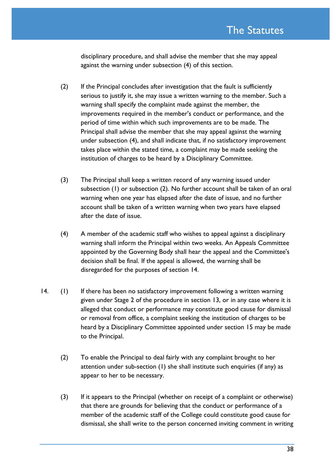disciplinary procedure, and shall advise the member that she may appeal against the warning under subsection (4) of this section.

- (2) If the Principal concludes after investigation that the fault is sufficiently serious to justify it, she may issue a written warning to the member. Such a warning shall specify the complaint made against the member, the improvements required in the member's conduct or performance, and the period of time within which such improvements are to be made. The Principal shall advise the member that she may appeal against the warning under subsection (4), and shall indicate that, if no satisfactory improvement takes place within the stated time, a complaint may be made seeking the institution of charges to be heard by a Disciplinary Committee.
- (3) The Principal shall keep a written record of any warning issued under subsection (1) or subsection (2). No further account shall be taken of an oral warning when one year has elapsed after the date of issue, and no further account shall be taken of a written warning when two years have elapsed after the date of issue.
- (4) A member of the academic staff who wishes to appeal against a disciplinary warning shall inform the Principal within two weeks. An Appeals Committee appointed by the Governing Body shall hear the appeal and the Committee's decision shall be final. If the appeal is allowed, the warning shall be disregarded for the purposes of section 14.
- 14. (1) If there has been no satisfactory improvement following a written warning given under Stage 2 of the procedure in section 13, or in any case where it is alleged that conduct or performance may constitute good cause for dismissal or removal from office, a complaint seeking the institution of charges to be heard by a Disciplinary Committee appointed under section 15 may be made to the Principal.
	- (2) To enable the Principal to deal fairly with any complaint brought to her attention under sub-section (1) she shall institute such enquiries (if any) as appear to her to be necessary.
	- (3) If it appears to the Principal (whether on receipt of a complaint or otherwise) that there are grounds for believing that the conduct or performance of a member of the academic staff of the College could constitute good cause for dismissal, she shall write to the person concerned inviting comment in writing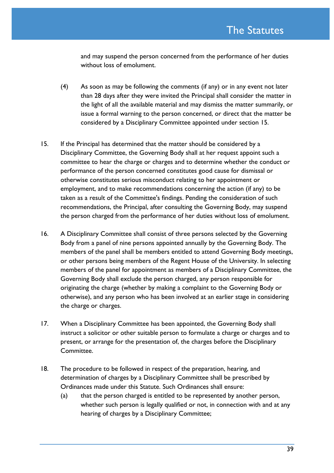and may suspend the person concerned from the performance of her duties without loss of emolument.

- (4) As soon as may be following the comments (if any) or in any event not later than 28 days after they were invited the Principal shall consider the matter in the light of all the available material and may dismiss the matter summarily, or issue a formal warning to the person concerned, or direct that the matter be considered by a Disciplinary Committee appointed under section 15.
- 15. If the Principal has determined that the matter should be considered by a Disciplinary Committee, the Governing Body shall at her request appoint such a committee to hear the charge or charges and to determine whether the conduct or performance of the person concerned constitutes good cause for dismissal or otherwise constitutes serious misconduct relating to her appointment or employment, and to make recommendations concerning the action (if any) to be taken as a result of the Committee's findings. Pending the consideration of such recommendations, the Principal, after consulting the Governing Body, may suspend the person charged from the performance of her duties without loss of emolument.
- 16. A Disciplinary Committee shall consist of three persons selected by the Governing Body from a panel of nine persons appointed annually by the Governing Body. The members of the panel shall be members entitled to attend Governing Body meetings, or other persons being members of the Regent House of the University. In selecting members of the panel for appointment as members of a Disciplinary Committee, the Governing Body shall exclude the person charged, any person responsible for originating the charge (whether by making a complaint to the Governing Body or otherwise), and any person who has been involved at an earlier stage in considering the charge or charges.
- 17. When a Disciplinary Committee has been appointed, the Governing Body shall instruct a solicitor or other suitable person to formulate a charge or charges and to present, or arrange for the presentation of, the charges before the Disciplinary Committee.
- 18. The procedure to be followed in respect of the preparation, hearing, and determination of charges by a Disciplinary Committee shall be prescribed by Ordinances made under this Statute. Such Ordinances shall ensure:
	- (a) that the person charged is entitled to be represented by another person, whether such person is legally qualified or not, in connection with and at any hearing of charges by a Disciplinary Committee;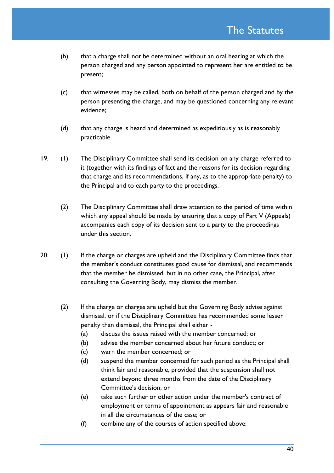- (b) that a charge shall not be determined without an oral hearing at which the person charged and any person appointed to represent her are entitled to be present;
- (c) that witnesses may be called, both on behalf of the person charged and by the person presenting the charge, and may be questioned concerning any relevant evidence;
- (d) that any charge is heard and determined as expeditiously as is reasonably practicable.
- 19. (1) The Disciplinary Committee shall send its decision on any charge referred to it (together with its findings of fact and the reasons for its decision regarding that charge and its recommendations, if any, as to the appropriate penalty) to the Principal and to each party to the proceedings.
	- (2) The Disciplinary Committee shall draw attention to the period of time within which any appeal should be made by ensuring that a copy of Part V (Appeals) accompanies each copy of its decision sent to a party to the proceedings under this section.
- 20. (1) If the charge or charges are upheld and the Disciplinary Committee finds that the member's conduct constitutes good cause for dismissal, and recommends that the member be dismissed, but in no other case, the Principal, after consulting the Governing Body, may dismiss the member.
	- (2) If the charge or charges are upheld but the Governing Body advise against dismissal, or if the Disciplinary Committee has recommended some lesser penalty than dismissal, the Principal shall either -
		- (a) discuss the issues raised with the member concerned; or
		- (b) advise the member concerned about her future conduct; or
		- (c) warn the member concerned; or
		- (d) suspend the member concerned for such period as the Principal shall think fair and reasonable, provided that the suspension shall not extend beyond three months from the date of the Disciplinary Committee's decision; or
		- (e) take such further or other action under the member's contract of employment or terms of appointment as appears fair and reasonable in all the circumstances of the case; or
		- (f) combine any of the courses of action specified above: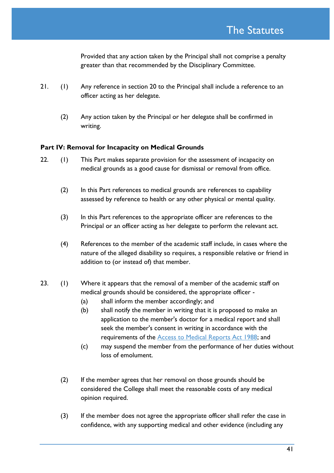Provided that any action taken by the Principal shall not comprise a penalty greater than that recommended by the Disciplinary Committee.

- 21. (1) Any reference in section 20 to the Principal shall include a reference to an officer acting as her delegate.
	- (2) Any action taken by the Principal or her delegate shall be confirmed in writing.

#### **Part IV: Removal for Incapacity on Medical Grounds**

- 22. (1) This Part makes separate provision for the assessment of incapacity on medical grounds as a good cause for dismissal or removal from office.
	- (2) In this Part references to medical grounds are references to capability assessed by reference to health or any other physical or mental quality.
	- (3) In this Part references to the appropriate officer are references to the Principal or an officer acting as her delegate to perform the relevant act.
	- (4) References to the member of the academic staff include, in cases where the nature of the alleged disability so requires, a responsible relative or friend in addition to (or instead of) that member.
- 23. (1) Where it appears that the removal of a member of the academic staff on medical grounds should be considered, the appropriate officer -
	- (a) shall inform the member accordingly; and
	- (b) shall notify the member in writing that it is proposed to make an application to the member's doctor for a medical report and shall seek the member's consent in writing in accordance with the requirements of the [Access to Medical Reports Act 1988;](http://www.legislation.gov.uk/ukpga/1988/28/contents) and
	- (c) may suspend the member from the performance of her duties without loss of emolument.
	- (2) If the member agrees that her removal on those grounds should be considered the College shall meet the reasonable costs of any medical opinion required.
	- (3) If the member does not agree the appropriate officer shall refer the case in confidence, with any supporting medical and other evidence (including any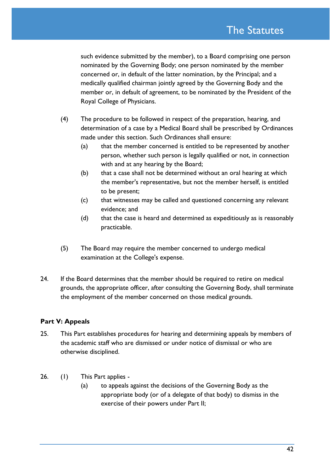such evidence submitted by the member), to a Board comprising one person nominated by the Governing Body; one person nominated by the member concerned or, in default of the latter nomination, by the Principal; and a medically qualified chairman jointly agreed by the Governing Body and the member or, in default of agreement, to be nominated by the President of the Royal College of Physicians.

- (4) The procedure to be followed in respect of the preparation, hearing, and determination of a case by a Medical Board shall be prescribed by Ordinances made under this section. Such Ordinances shall ensure:
	- (a) that the member concerned is entitled to be represented by another person, whether such person is legally qualified or not, in connection with and at any hearing by the Board;
	- (b) that a case shall not be determined without an oral hearing at which the member's representative, but not the member herself, is entitled to be present;
	- (c) that witnesses may be called and questioned concerning any relevant evidence; and
	- (d) that the case is heard and determined as expeditiously as is reasonably practicable.
- (5) The Board may require the member concerned to undergo medical examination at the College's expense.
- 24. If the Board determines that the member should be required to retire on medical grounds, the appropriate officer, after consulting the Governing Body, shall terminate the employment of the member concerned on those medical grounds.

### **Part V: Appeals**

- 25. This Part establishes procedures for hearing and determining appeals by members of the academic staff who are dismissed or under notice of dismissal or who are otherwise disciplined.
- 26. (1) This Part applies
	- (a) to appeals against the decisions of the Governing Body as the appropriate body (or of a delegate of that body) to dismiss in the exercise of their powers under Part II;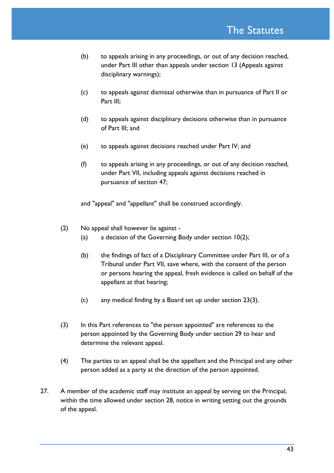- (b) to appeals arising in any proceedings, or out of any decision reached, under Part III other than appeals under section 13 (Appeals against disciplinary warnings);
- (c) to appeals against dismissal otherwise than in pursuance of Part II or Part III:
- (d) to appeals against disciplinary decisions otherwise than in pursuance of Part III; and
- (e) to appeals against decisions reached under Part IV; and
- (f) to appeals arising in any proceedings, or out of any decision reached, under Part VII, including appeals against decisions reached in pursuance of section 47;

and "appeal" and "appellant" shall be construed accordingly.

- (2) No appeal shall however lie against
	- (a) a decision of the Governing Body under section 10(2);
	- (b) the findings of fact of a Disciplinary Committee under Part III, or of a Tribunal under Part VII, save where, with the consent of the person or persons hearing the appeal, fresh evidence is called on behalf of the appellant at that hearing;
	- (c) any medical finding by a Board set up under section 23(3).
- (3) In this Part references to "the person appointed" are references to the person appointed by the Governing Body under section 29 to hear and determine the relevant appeal.
- (4) The parties to an appeal shall be the appellant and the Principal and any other person added as a party at the direction of the person appointed.
- 27. A member of the academic staff may institute an appeal by serving on the Principal, within the time allowed under section 28, notice in writing setting out the grounds of the appeal.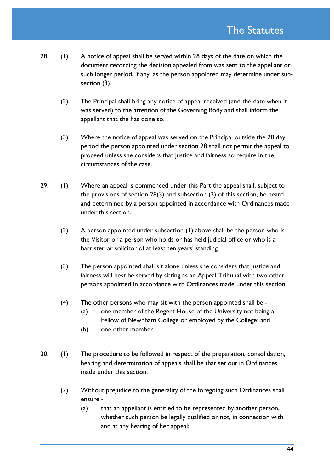- 28. (1) A notice of appeal shall be served within 28 days of the date on which the document recording the decision appealed from was sent to the appellant or such longer period, if any, as the person appointed may determine under subsection (3).
	- (2) The Principal shall bring any notice of appeal received (and the date when it was served) to the attention of the Governing Body and shall inform the appellant that she has done so.
	- (3) Where the notice of appeal was served on the Principal outside the 28 day period the person appointed under section 28 shall not permit the appeal to proceed unless she considers that justice and fairness so require in the circumstances of the case.
- 29. (1) Where an appeal is commenced under this Part the appeal shall, subject to the provisions of section 28(3) and subsection (3) of this section, be heard and determined by a person appointed in accordance with Ordinances made under this section.
	- (2) A person appointed under subsection (1) above shall be the person who is the Visitor or a person who holds or has held judicial office or who is a barrister or solicitor of at least ten years' standing.
	- (3) The person appointed shall sit alone unless she considers that justice and fairness will best be served by sitting as an Appeal Tribunal with two other persons appointed in accordance with Ordinances made under this section.
	- (4) The other persons who may sit with the person appointed shall be
		- (a) one member of the Regent House of the University not being a Fellow of Newnham College or employed by the College; and
		- (b) one other member.
- 30. (1) The procedure to be followed in respect of the preparation, consolidation, hearing and determination of appeals shall be that set out in Ordinances made under this section.
	- (2) Without prejudice to the generality of the foregoing such Ordinances shall ensure -
		- (a) that an appellant is entitled to be represented by another person, whether such person be legally qualified or not, in connection with and at any hearing of her appeal;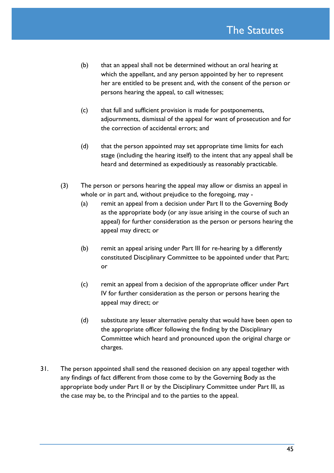- (b) that an appeal shall not be determined without an oral hearing at which the appellant, and any person appointed by her to represent her are entitled to be present and, with the consent of the person or persons hearing the appeal, to call witnesses;
- (c) that full and sufficient provision is made for postponements, adjournments, dismissal of the appeal for want of prosecution and for the correction of accidental errors; and
- (d) that the person appointed may set appropriate time limits for each stage (including the hearing itself) to the intent that any appeal shall be heard and determined as expeditiously as reasonably practicable.
- (3) The person or persons hearing the appeal may allow or dismiss an appeal in whole or in part and, without prejudice to the foregoing, may -
	- (a) remit an appeal from a decision under Part II to the Governing Body as the appropriate body (or any issue arising in the course of such an appeal) for further consideration as the person or persons hearing the appeal may direct; or
	- (b) remit an appeal arising under Part III for re-hearing by a differently constituted Disciplinary Committee to be appointed under that Part; or
	- (c) remit an appeal from a decision of the appropriate officer under Part IV for further consideration as the person or persons hearing the appeal may direct; or
	- (d) substitute any lesser alternative penalty that would have been open to the appropriate officer following the finding by the Disciplinary Committee which heard and pronounced upon the original charge or charges.
- 31. The person appointed shall send the reasoned decision on any appeal together with any findings of fact different from those come to by the Governing Body as the appropriate body under Part II or by the Disciplinary Committee under Part III, as the case may be, to the Principal and to the parties to the appeal.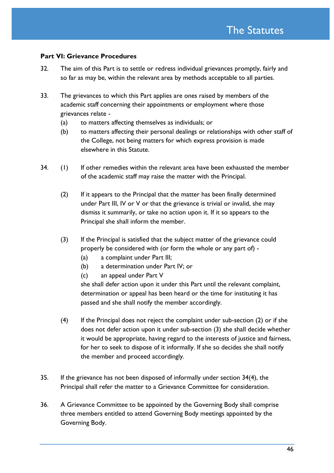#### **Part VI: Grievance Procedures**

- 32. The aim of this Part is to settle or redress individual grievances promptly, fairly and so far as may be, within the relevant area by methods acceptable to all parties.
- 33. The grievances to which this Part applies are ones raised by members of the academic staff concerning their appointments or employment where those grievances relate -
	- (a) to matters affecting themselves as individuals; or
	- (b) to matters affecting their personal dealings or relationships with other staff of the College, not being matters for which express provision is made elsewhere in this Statute.
- 34. (1) If other remedies within the relevant area have been exhausted the member of the academic staff may raise the matter with the Principal.
	- (2) If it appears to the Principal that the matter has been finally determined under Part III, IV or V or that the grievance is trivial or invalid, she may dismiss it summarily, or take no action upon it. If it so appears to the Principal she shall inform the member.
	- (3) If the Principal is satisfied that the subject matter of the grievance could properly be considered with (or form the whole or any part of) -
		- (a) a complaint under Part III;
		- (b) a determination under Part IV; or
		- (c) an appeal under Part V

she shall defer action upon it under this Part until the relevant complaint, determination or appeal has been heard or the time for instituting it has passed and she shall notify the member accordingly.

- (4) If the Principal does not reject the complaint under sub-section (2) or if she does not defer action upon it under sub-section (3) she shall decide whether it would be appropriate, having regard to the interests of justice and fairness, for her to seek to dispose of it informally. If she so decides she shall notify the member and proceed accordingly.
- 35. If the grievance has not been disposed of informally under section 34(4), the Principal shall refer the matter to a Grievance Committee for consideration.
- 36. A Grievance Committee to be appointed by the Governing Body shall comprise three members entitled to attend Governing Body meetings appointed by the Governing Body.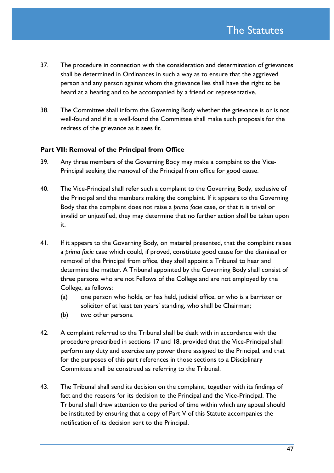- 37. The procedure in connection with the consideration and determination of grievances shall be determined in Ordinances in such a way as to ensure that the aggrieved person and any person against whom the grievance lies shall have the right to be heard at a hearing and to be accompanied by a friend or representative.
- 38. The Committee shall inform the Governing Body whether the grievance is or is not well-found and if it is well-found the Committee shall make such proposals for the redress of the grievance as it sees fit.

#### **Part VII: Removal of the Principal from Office**

- 39. Any three members of the Governing Body may make a complaint to the Vice-Principal seeking the removal of the Principal from office for good cause.
- 40. The Vice-Principal shall refer such a complaint to the Governing Body, exclusive of the Principal and the members making the complaint. If it appears to the Governing Body that the complaint does not raise a *prima facie* case, or that it is trivial or invalid or unjustified, they may determine that no further action shall be taken upon it.
- 41. If it appears to the Governing Body, on material presented, that the complaint raises a *prima facie* case which could, if proved, constitute good cause for the dismissal or removal of the Principal from office, they shall appoint a Tribunal to hear and determine the matter. A Tribunal appointed by the Governing Body shall consist of three persons who are not Fellows of the College and are not employed by the College, as follows:
	- (a) one person who holds, or has held, judicial office, or who is a barrister or solicitor of at least ten years' standing, who shall be Chairman;
	- (b) two other persons.
- 42. A complaint referred to the Tribunal shall be dealt with in accordance with the procedure prescribed in sections 17 and 18, provided that the Vice-Principal shall perform any duty and exercise any power there assigned to the Principal, and that for the purposes of this part references in those sections to a Disciplinary Committee shall be construed as referring to the Tribunal.
- 43. The Tribunal shall send its decision on the complaint, together with its findings of fact and the reasons for its decision to the Principal and the Vice-Principal. The Tribunal shall draw attention to the period of time within which any appeal should be instituted by ensuring that a copy of Part V of this Statute accompanies the notification of its decision sent to the Principal.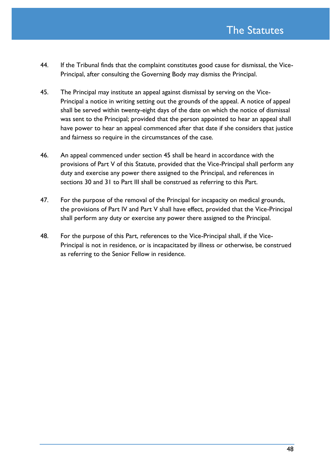- 44. If the Tribunal finds that the complaint constitutes good cause for dismissal, the Vice-Principal, after consulting the Governing Body may dismiss the Principal.
- 45. The Principal may institute an appeal against dismissal by serving on the Vice-Principal a notice in writing setting out the grounds of the appeal. A notice of appeal shall be served within twenty-eight days of the date on which the notice of dismissal was sent to the Principal; provided that the person appointed to hear an appeal shall have power to hear an appeal commenced after that date if she considers that justice and fairness so require in the circumstances of the case.
- 46. An appeal commenced under section 45 shall be heard in accordance with the provisions of Part V of this Statute, provided that the Vice-Principal shall perform any duty and exercise any power there assigned to the Principal, and references in sections 30 and 31 to Part III shall be construed as referring to this Part.
- 47. For the purpose of the removal of the Principal for incapacity on medical grounds, the provisions of Part IV and Part V shall have effect, provided that the Vice-Principal shall perform any duty or exercise any power there assigned to the Principal.
- 48. For the purpose of this Part, references to the Vice-Principal shall, if the Vice-Principal is not in residence, or is incapacitated by illness or otherwise, be construed as referring to the Senior Fellow in residence.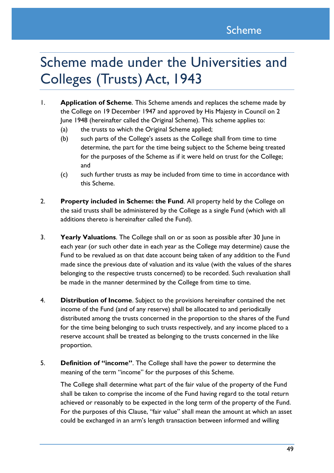# Scheme made under the Universities and Colleges (Trusts) Act, 1943

- <span id="page-48-0"></span>1. **Application of Scheme**. This Scheme amends and replaces the scheme made by the College on 19 December 1947 and approved by His Majesty in Council on 2 June 1948 (hereinafter called the Original Scheme). This scheme applies to:
	- (a) the trusts to which the Original Scheme applied;
	- (b) such parts of the College's assets as the College shall from time to time determine, the part for the time being subject to the Scheme being treated for the purposes of the Scheme as if it were held on trust for the College; and
	- (c) such further trusts as may be included from time to time in accordance with this Scheme.
- 2. **Property included in Scheme: the Fund**. All property held by the College on the said trusts shall be administered by the College as a single Fund (which with all additions thereto is hereinafter called the Fund).
- 3. **Yearly Valuations**. The College shall on or as soon as possible after 30 June in each year (or such other date in each year as the College may determine) cause the Fund to be revalued as on that date account being taken of any addition to the Fund made since the previous date of valuation and its value (with the values of the shares belonging to the respective trusts concerned) to be recorded. Such revaluation shall be made in the manner determined by the College from time to time.
- 4. **Distribution of Income**. Subject to the provisions hereinafter contained the net income of the Fund (and of any reserve) shall be allocated to and periodically distributed among the trusts concerned in the proportion to the shares of the Fund for the time being belonging to such trusts respectively, and any income placed to a reserve account shall be treated as belonging to the trusts concerned in the like proportion.
- 5. **Definition of "income"**. The College shall have the power to determine the meaning of the term "income" for the purposes of this Scheme.

The College shall determine what part of the fair value of the property of the Fund shall be taken to comprise the income of the Fund having regard to the total return achieved or reasonably to be expected in the long term of the property of the Fund. For the purposes of this Clause, "fair value" shall mean the amount at which an asset could be exchanged in an arm's length transaction between informed and willing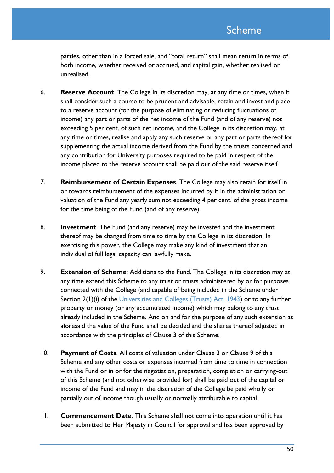parties, other than in a forced sale, and "total return" shall mean return in terms of both income, whether received or accrued, and capital gain, whether realised or unrealised.

- 6. **Reserve Account**. The College in its discretion may, at any time or times, when it shall consider such a course to be prudent and advisable, retain and invest and place to a reserve account (for the purpose of eliminating or reducing fluctuations of income) any part or parts of the net income of the Fund (and of any reserve) not exceeding 5 per cent. of such net income, and the College in its discretion may, at any time or times, realise and apply any such reserve or any part or parts thereof for supplementing the actual income derived from the Fund by the trusts concerned and any contribution for University purposes required to be paid in respect of the income placed to the reserve account shall be paid out of the said reserve itself.
- 7. **Reimbursement of Certain Expenses**. The College may also retain for itself in or towards reimbursement of the expenses incurred by it in the administration or valuation of the Fund any yearly sum not exceeding 4 per cent. of the gross income for the time being of the Fund (and of any reserve).
- 8. **Investment**. The Fund (and any reserve) may be invested and the investment thereof may be changed from time to time by the College in its discretion. In exercising this power, the College may make any kind of investment that an individual of full legal capacity can lawfully make.
- 9. **Extension of Scheme**: Additions to the Fund. The College in its discretion may at any time extend this Scheme to any trust or trusts administered by or for purposes connected with the College (and capable of being included in the Scheme under Section 2(1)(i) of the [Universities and Colleges \(Trusts\) Act, 1943\)](http://www.legislation.gov.uk/ukpga/Geo6/6-7/9/contents) or to any further property or money (or any accumulated income) which may belong to any trust already included in the Scheme. And on and for the purpose of any such extension as aforesaid the value of the Fund shall be decided and the shares thereof adjusted in accordance with the principles of Clause 3 of this Scheme.
- 10. **Payment of Costs**. All costs of valuation under Clause 3 or Clause 9 of this Scheme and any other costs or expenses incurred from time to time in connection with the Fund or in or for the negotiation, preparation, completion or carrying-out of this Scheme (and not otherwise provided for) shall be paid out of the capital or income of the Fund and may in the discretion of the College be paid wholly or partially out of income though usually or normally attributable to capital.
- 11. **Commencement Date**. This Scheme shall not come into operation until it has been submitted to Her Majesty in Council for approval and has been approved by